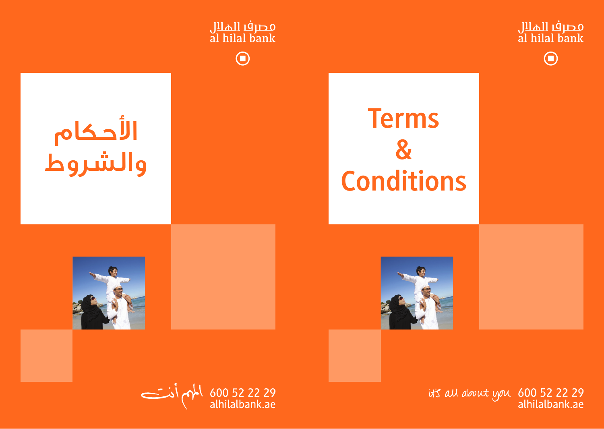

600 52 22 29 مامام أذت<br>alhilalbank.ae

it's all about you 600 52 22 29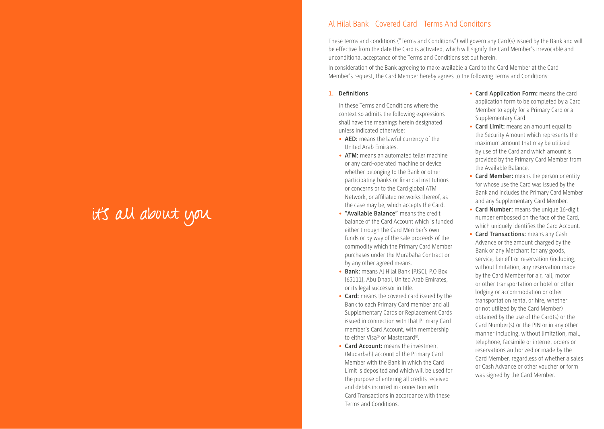## it's all about you

#### Al Hilal Bank - Covered Card - Terms And Conditons

These terms and conditions ("Terms and Conditions") will govern any Card(s) issued by the Bank and will be effective from the date the Card is activated, which will signify the Card Member's irrevocable and unconditional acceptance of the Terms and Conditions set out herein.

In consideration of the Bank agreeing to make available a Card to the Card Member at the Card Member's request, the Card Member hereby agrees to the following Terms and Conditions:

#### **1. Definitions**

In these Terms and Conditions where the context so admits the following expressions shall have the meanings herein designated unless indicated otherwise:

- **• AED:** means the lawful currency of the United Arab Emirates.
- **• ATM:** means an automated teller machine or any card-operated machine or device whether belonging to the Bank or other participating banks or financial institutions or concerns or to the Card global ATM Network, or affiliated networks thereof, as the case may be, which accepts the Card.
- **• "Available Balance"** means the credit balance of the Card Account which is funded either through the Card Member's own funds or by way of the sale proceeds of the commodity which the Primary Card Member purchases under the Murabaha Contract or by any other agreed means.
- **• Bank:** means Al Hilal Bank [PJSC], P.O Box [63111], Abu Dhabi, United Arab Emirates, or its legal successor in title.
- **• Card:** means the covered card issued by the Bank to each Primary Card member and all Supplementary Cards or Replacement Cards issued in connection with that Primary Card member's Card Account, with membership to either Visa® or Mastercard®.
- **• Card Account:** means the investment (Mudarbah) account of the Primary Card Member with the Bank in which the Card Limit is deposited and which will be used for the purpose of entering all credits received and debits incurred in connection with Card Transactions in accordance with these Terms and Conditions.
- **• Card Application Form:** means the card application form to be completed by a Card Member to apply for a Primary Card or a Supplementary Card.
- **• Card Limit:** means an amount equal to the Security Amount which represents the maximum amount that may be utilized by use of the Card and which amount is provided by the Primary Card Member from the Available Balance.
- **• Card Member:** means the person or entity for whose use the Card was issued by the Bank and includes the Primary Card Member and any Supplementary Card Member.
- **• Card Number:** means the unique 16-digit number embossed on the face of the Card, which uniquely identifies the Card Account.
- **• Card Transactions:** means any Cash Advance or the amount charged by the Bank or any Merchant for any goods, service, benefit or reservation (including, without limitation, any reservation made by the Card Member for air, rail, motor or other transportation or hotel or other lodging or accommodation or other transportation rental or hire, whether or not utilized by the Card Member) obtained by the use of the Card(s) or the Card Number(s) or the PIN or in any other manner including, without limitation, mail, telephone, facsimile or internet orders or reservations authorized or made by the Card Member, regardless of whether a sales or Cash Advance or other voucher or form was signed by the Card Member.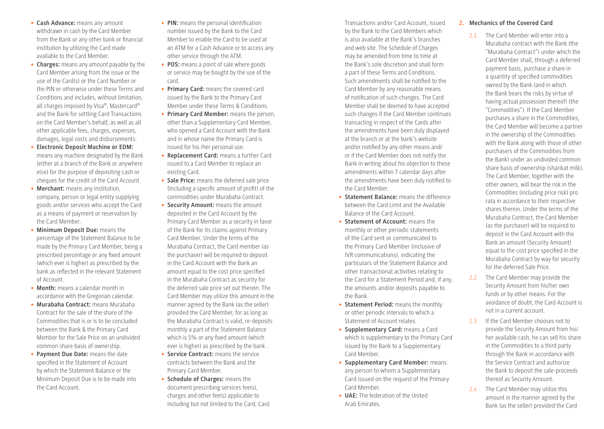- **• Cash Advance:** means any amount withdrawn in cash by the Card Member from the Bank or any other bank or financial institution by utilizing the Card made available to the Card Member.
- **• Charges:** means any amount payable by the Card Member arising from the issue or the use of the Card(s) or the Card Number or the PIN or otherwise under these Terms and Conditions and includes, without limitation, all charges imposed by Visa®, Mastercard® and the Bank for settling Card Transactions on the Card Member's behalf, as well as all other applicable fees, charges, expenses, damages, legal costs and disbursements.
- **• Electronic Deposit Machine or EDM:**  means any machine designated by the Bank (either at a branch of the Bank or anywhere else) for the purpose of depositing cash or cheques for the credit of the Card Account.
- **• Merchant:** means any institution, company, person or legal entity supplying goods and/or services who accept the Card as a means of payment or reservation by the Card Member.
- **• Minimum Deposit Due:** means the percentage of the Statement Balance to be made by the Primary Card Member, being a prescribed percentage or any fixed amount (which ever is higher) as prescribed by the bank as reflected in the relevant Statement of Account.
- **• Month:** means a calendar month in accordance with the Gregorian calendar.
- **• Murabaha Contract:** means Murabaha Contract for the sale of the share of the Commodities that is or is to be concluded between the Bank & the Primary Card Member for the Sale Price on an undivided common share basis of ownership.
- **• Payment Due Date:** means the date specified in the Statement of Account by which the Statement Balance or the Minimum Deposit Due is to be made into the Card Account.
- **• PIN:** means the personal identification number issued by the Bank to the Card Member to enable the Card to be used at an ATM for a Cash Advance or to access any other service through the ATM.
- **• POS:** means a point of sale where goods or service may be bought by the use of the card.
- **• Primary Card:** means the covered card issued by the Bank to the Primary Card Member under these Terms & Conditions.
- **• Primary Card Member:** means the person, other than a Supplementary Card Member, who opened a Card Account with the Bank and in whose name the Primary Card is issued for his /her personal use.
- **• Replacement Card:** means a further Card issued to a Card Member to replace an existing Card.
- **• Sale Price:** means the deferred sale price (Including a specific amount of profit) of the commodities under Murabaha Contract.
- **• Security Amount:** means the amount deposited in the Card Account by the Primary Card Member as a security in favor of the Bank for its claims against Primary Card Member. Under the terms of the Murabaha Contract, the Card member (as the purchaser) will be required to deposit in the Card Account with the Bank an amount equal to the cost price specified in the Murabaha Contract as security for the deferred sale price set out therein. The Card Member may utilize this amount in the manner agreed by the Bank (as the seller) provided the Card Member, for as long as the Murabaha Contract is valid, re-deposits monthly a part of the Statement Balance which is 5% or any fixed amount (which ever is higher) as prescribed by the bank .
- **• Service Contract:** means the service contracts between the Bank and the Primary Card Member.
- **• Schedule of Charges:** means the document prescribing services fee(s), charges and other fee(s) applicable to including but not limited to the Card, Card

Transactions and/or Card Account, issued by the Bank to the Card Members which is also available at the Bank's branches and web site. The Schedule of Charges may be amended from time to time at the Bank's sole discretion and shall form a part of these Terms and Conditions. Such amendments shall be notified to the Card Member by any reasonable means of notification of such changes. The Card Member shall be deemed to have accepted such changes if the Card Member continues transacting in respect of the Cards after the amendments have been duly displayed at the branch or at the bank's website and/or notified by any other means and/ or if the Card Member does not notify the Bank in writing about his objection to these amendments within 7 calendar days after the amendments have been duly notified to the Card Member.

- **• Statement Balance:** means the difference between the Card Limit and the Available Balance of the Card Account.
- **• Statement of Account:** means the monthly or other periodic statements of the Card sent or communicated to the Primary Card Member (inclusive of IVR communications), indicating the particulars of the Statement Balance and other transactional activities relating to the Card for a Statement Period and, if any, the amounts and/or deposits payable to the Bank.
- **• Statement Period:** means the monthly or other periodic intervals to which a Statement of Account relates.
- **• Supplementary Card:** means a Card which is supplementary to the Primary Card issued by the Bank to a Supplementary Card Member.
- **• Supplementary Card Member:** means any person to whom a Supplementary Card issued on the request of the Primary Card Member.
- **• UAE:** The federation of the United Arab Emirates.

#### **2. Mechanics of the Covered Card**

- 2.1 The Card Member will enter into a Murabaha contract with the Bank (the "Murabaha Contract") under which the Card Member shall, through a deferred payment basis, purchase a share in a quantity of specified commodities owned by the Bank (and in which the Bank bears the risks by virtue of having actual possession thereof) (the "Commodities"). If the Card Member purchases a share in the Commodities, the Card Member will become a partner in the ownership of the Commodities with the Bank along with those of other purchasers of the Commodities from the Bank) under an undivided common share basis of ownership (sharikat milk). The Card Member, together with the other owners, will bear the risk in the Commodities (including price risk) pro rata in accordance to their respective shares therein. Under the terms of the Murabaha Contract, the Card Member (as the purchaser) will be required to deposit in the Card Account with the Bank an amount (Security Amount) equal to the cost price specified in the Murabaha Contract by way for security for the deferred Sale Price.
- 2.2 The Card Member may provide the Security Amount from his/her own funds or by other means. For the avoidance of doubt, the Card Account is not in a current account.
- 2.3 If the Card Member chooses not to provide the Security Amount from his/ her available cash, he can sell his share in the Commodities to a third party through the Bank in accordance with the Service Contract and authorize the Bank to deposit the sale-proceeds thereof as Security Amount.
- 2.4 The Card Member may utilize this amount in the manner agreed by the Bank (as the seller) provided the Card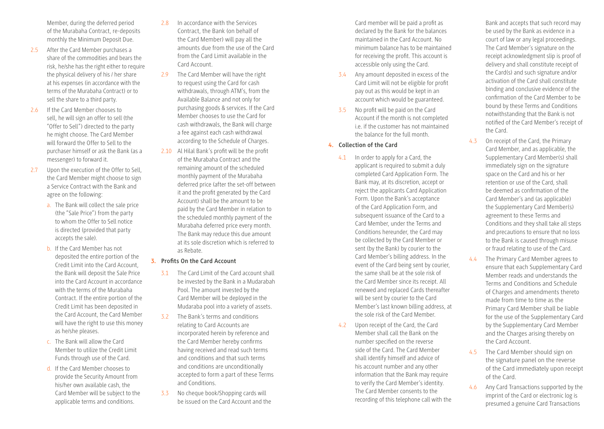Member, during the deferred period of the Murabaha Contract, re-deposits monthly the Minimum Deposit Due.

- 2.5 After the Card Member purchases a share of the commodities and bears the risk, he/she has the right either to require the physical delivery of his / her share at his expenses (in accordance with the terms of the Murabaha Contract) or to sell the share to a third party.
- 2.6 If the Card Member chooses to sell, he will sign an offer to sell (the "Offer to Sell") directed to the party he might choose. The Card Member will forward the Offer to Sell to the purchaser himself or ask the Bank (as a messenger) to forward it.
- 2.7 Upon the execution of the Offer to Sell, the Card Member might choose to sign a Service Contract with the Bank and agree on the following:
	- a. The Bank will collect the sale price (the "Sale Price") from the party to whom the Offer to Sell notice is directed (provided that party accepts the sale).
	- b. If the Card Member has not deposited the entire portion of the Credit Limit into the Card Account, the Bank will deposit the Sale Price into the Card Account in accordance with the terms of the Murabaha Contract. If the entire portion of the Credit Limit has been deposited in the Card Account, the Card Member will have the right to use this money as he/she pleases.
	- c. The Bank will allow the Card Member to utilize the Credit Limit Funds through use of the Card.
	- d. If the Card Member chooses to provide the Security Amount from his/her own available cash, the Card Member will be subject to the applicable terms and conditions.
- 2.8 In accordance with the Services Contract, the Bank (on behalf of the Card Member) will pay all the amounts due from the use of the Card from the Card Limit available in the Card Account.
- 2.9 The Card Member will have the right to request using the Card for cash withdrawals, through ATM's, from the Available Balance and not only for purchasing goods & services. If the Card Member chooses to use the Card for cash withdrawals, the Bank will charge a fee against each cash withdrawal according to the Schedule of Charges.
- 2.10 Al Hilal Bank's profit will be the profit of the Murabaha Contract and the remaining amount of the scheduled monthly payment of the Murabaha deferred price (after the set-off between it and the profit generated by the Card Account) shall be the amount to be paid by the Card Member in relation to the scheduled monthly payment of the Murabaha deferred price every month. The Bank may reduce this due amount at its sole discretion which is referred to as Rebate.

#### **3. Profits On the Card Account**

- 3.1 The Card Limit of the Card account shall be invested by the Bank in a Mudarabah Pool. The amount invested by the Card Member will be deployed in the Mudaraba pool into a variety of assets.
- 3.2 The Bank's terms and conditions relating to Card Accounts are incorporated herein by reference and the Card Member hereby confirms having received and read such terms and conditions and that such terms and conditions are unconditionally accepted to form a part of these Terms and Conditions.
- 3.3 No cheque book/Shopping cards will be issued on the Card Account and the

Card member will be paid a profit as declared by the Bank for the balances maintained in the Card Account. No minimum balance has to be maintained for receiving the profit. This account is accessible only using the Card.

- 3.4 Any amount deposited in excess of the Card Limit will not be eligible for profit pay out as this would be kept in an account which would be guaranteed.
- 3.5 No profit will be paid on the Card Account if the month is not completed i.e. if the customer has not maintained the balance for the full month.

#### **4. Collection of the Card**

- 4.1 In order to apply for a Card, the applicant is required to submit a duly completed Card Application Form. The Bank may, at its discretion, accept or reject the applicants Card Application Form. Upon the Bank's acceptance of the Card Application Form, and subsequent issuance of the Card to a Card Member, under the Terms and Conditions hereunder, the Card may be collected by the Card Member or sent (by the Bank) by courier to the Card Member's billing address. In the event of the Card being sent by courier, the same shall be at the sole risk of the Card Member since its receipt. All renewed and replaced Cards thereafter will be sent by courier to the Card Member's last known billing address, at the sole risk of the Card Member.
- 4.2 Upon receipt of the Card, the Card Member shall call the Bank on the number specified on the reverse side of the Card. The Card Member shall identify himself and advice of his account number and any other information that the Bank may require to verify the Card Member's identity. The Card Member consents to the recording of this telephone call with the

Bank and accepts that such record may be used by the Bank as evidence in a court of law or any legal proceedings. The Card Member's signature on the receipt acknowledgment slip is proof of delivery and shall constitute receipt of the Card(s) and such signature and/or activation of the Card shall constitute binding and conclusive evidence of the confirmation of the Card Member to be bound by these Terms and Conditions notwithstanding that the Bank is not notified of the Card Member's receipt of the Card.

- 4.3 On receipt of the Card, the Primary Card Member, and as applicable, the Supplementary Card Member(s) shall immediately sign on the signature space on the Card and his or her retention or use of the Card, shall be deemed as confirmation of the Card Member's and (as applicable) the Supplementary Card Member(s) agreement to these Terms and Conditions and they shall take all steps and precautions to ensure that no loss to the Bank is caused through misuse or fraud relating to use of the Card.
- 4.4 The Primary Card Member agrees to ensure that each Supplementary Card Member reads and understands the Terms and Conditions and Schedule of Charges and amendments thereto made from time to time as the Primary Card Member shall be liable for the use of the Supplementary Card by the Supplementary Card Member and the Charges arising thereby on the Card Account.
- 4.5 The Card Member should sign on the signature panel on the reverse of the Card immediately upon receipt of the Card.
- 4.6 Any Card Transactions supported by the imprint of the Card or electronic log is presumed a genuine Card Transactions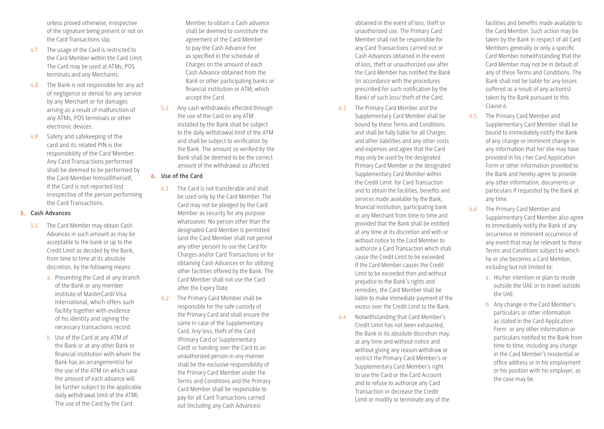unless proved otherwise, irrespective of the signature being present or not on the Card Transactions slip.

- 4.7 The usage of the Card is restricted to the Card Member within the Card Limit. The Card may be used at ATMs, POS terminals and any Merchants.
- 4.8 The Bank is not responsible for any act of negligence or denial for any service by any Merchant or for damages arising as a result of malfunction of any ATMs, POS terminals or other electronic devices.
- 4.9 Safety and safekeeping of the card and its related PIN is the responsibility of the Card Member. Any Card Transactions performed shall be deemed to be performed by the Card Member himself/herself, if the Card is not reported lost irrespective of the person performing the Card Transactions.

#### **5. Cash Advances**

- 5.1 The Card Member may obtain Cash Advances in such amount as may be acceptable to the bank or up to the Credit Limit as decided by the Bank, from time to time at its absolute discretion, by the following means:
	- a. Presenting the Card at any branch of the Bank or any member institute of MasterCard/ Visa International, which offers such facility together with evidence of his identity and signing the necessary transactions record.
	- b. Use of the Card at any ATM of the Bank or at any other Bank or financial institution with whom the Bank has an arrangement(s) for the use of the ATM (in which case the amount of each advance will be further subject to the applicable daily withdrawal limit of the ATM). The use of the Card by the Card

Member to obtain a Cash advance shall be deemed to constitute the agreement of the Card Member to pay the Cash Advance Fee as specified in the schedule of Charges on the amount of each Cash Advance obtained from the Bank or other participating banks or financial institution or ATM, which accept the Card.

5.2 Any cash withdrawals effected through the use of the Card on any ATM installed by the Bank shall be subject to the daily withdrawal limit of the ATM and shall be subject to verification by the Bank. The amount so verified by the Bank shall be deemed to be the correct amount of the withdrawal so affected.

#### **6. Use of the Card**

- 6.1 The Card is not transferable and shall be used only by the Card Member. The Card may not be pledged by the Card Member as security for any purpose whatsoever. No person other than the designated Card Member is permitted (and the Card Member shall not permit any other person) to use the Card for Charges and/or Card Transactions or for obtaining Cash Advances or for utilizing other facilities offered by the Bank. The Card Member shall not use the Card after the Expiry Date.
- 6.2 The Primary Card Member shall be responsible for the safe custody of the Primary Card and shall ensure the same in case of the Supplementary Card. Any loss, theft of the Card (Primary Card or Supplementary Card) or handing over the Card to an unauthorized person in any manner shall be the exclusive responsibility of the Primary Card Member under the Terms and Conditions and the Primary Card Member shall be responsible to pay for all Card Transactions carried out (including any Cash Advances)

obtained in the event of loss, theft or unauthorized use. The Primary Card Member shall not be responsible for any Card Transactions carried out or Cash Advances obtained in the event of loss, theft or unauthorized use after the Card Member has notified the Bank (in accordance with the procedures prescribed for such notification by the Bank) of such loss/ theft of the Card.

- 6.3 The Primary Card Member and the Supplementary Card Member shall be bound by these Terms and Conditions and shall be fully liable for all Charges and other liabilities and any other costs and expenses and agree that the Card may only be used by the designated Primary Card Member or the designated Supplementary Card Member within the Credit Limit for Card Transaction and to obtain the facilities, benefits and services made available by the Bank, financial institution, participating bank or any Merchant from time to time and provided that the Bank shall be entitled at any time at its discretion and with or without notice to the Card Member to authorize a Card Transaction which shall cause the Credit Limit to be exceeded. If the Card Member causes the Credit Limit to be exceeded then and without prejudice to the Bank's rights and remedies, the Card Member shall be liable to make immediate payment of the excess over the Credit Limit to the Bank.
- 6.4 Notwithstanding that Card Member's Credit Limit has not been exhausted, the Bank in its absolute discretion may, at any time and without notice and without giving any reason withdraw or restrict the Primary Card Member's or Supplementary Card Member's right to use the Card or the Card Account and to refuse to authorize any Card Transaction or decrease the Credit Limit or modify or terminate any of the

facilities and benefits made available to the Card Member. Such action may be taken by the Bank in respect of all Card Members generally or only a specific Card Member notwithstanding that the Card Member may not be in default of any of these Terms and Conditions. The Bank shall not be liable for any losses suffered as a result of any action(s) taken by the Bank pursuant to this Clause 6.

- 6.5 The Primary Card Member and Supplementary Card Member shall be bound to immediately notify the Bank of any change or imminent change in any information that he/ she may have provided in his / her Card Application Form or other information provided to the Bank and hereby agree to provide any other information, documents or particulars if requested by the Bank at any time.
- 6.6 The Primary Card Member and Supplementary Card Member also agree to immediately notify the Bank of any occurrence or imminent occurrence of any event that may be relevant to these Terms and Conditions subject to which he or she becomes a Card Member, including but not limited to:
	- a. His/her intention or plan to reside outside the UAE or to travel outside the UAE.
	- b. Any change in the Card Member's particulars or other information as stated in the Card Application Form or any other information or particulars notified to the Bank from time to time, including any change in the Card Member's residential or office address or in his employment or his position with his employer, as the case may be.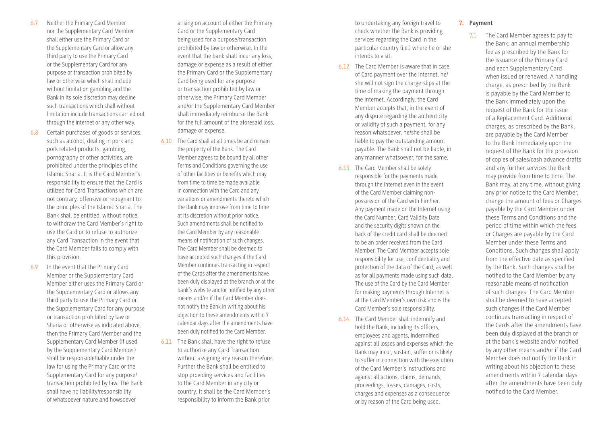- 6.7 Neither the Primary Card Member nor the Supplementary Card Member shall either use the Primary Card or the Supplementary Card or allow any third party to use the Primary Card or the Supplementary Card for any purpose or transaction prohibited by law or otherwise which shall include without limitation gambling and the Bank in its sole discretion may decline such transactions which shall without limitation include transactions carried out through the internet or any other way.
- 6.8 Certain purchases of goods or services, such as alcohol, dealing in pork and pork related products, gambling, pornography or other activities, are prohibited under the principles of the Islamic Sharia. It is the Card Member's responsibility to ensure that the Card is utilized for Card Transactions which are not contrary, offensive or repugnant to the principles of the Islamic Sharia. The Bank shall be entitled, without notice, to withdraw the Card Member's right to use the Card or to refuse to authorize any Card Transaction in the event that the Card Member fails to comply with this provision.
- 6.9 In the event that the Primary Card Member or the Supplementary Card Member either uses the Primary Card or the Supplementary Card or allows any third party to use the Primary Card or the Supplementary Card for any purpose or transaction prohibited by law or Sharia or otherwise as indicated above, then the Primary Card Member and the Supplementary Card Member (if used by the Supplementary Card Member) shall be responsible/liable under the law for using the Primary Card or the Supplementary Card for any purpose/ transaction prohibited by law. The Bank shall have no liability/responsibility of whatsoever nature and howsoever

arising on account of either the Primary Card or the Supplementary Card being used for a purpose/transaction prohibited by law or otherwise. In the event that the bank shall incur any loss, damage or expense as a result of either the Primary Card or the Supplementary Card being used for any purpose or transaction prohibited by law or otherwise, the Primary Card Member and/or the Supplementary Card Member shall immediately reimburse the Bank for the full amount of the aforesaid loss, damage or expense.

- 6.10 The Card shall at all times be and remain the property of the Bank. The Card Member agrees to be bound by all other Terms and Conditions governing the use of other facilities or benefits which may from time to time be made available in connection with the Card and any variations or amendments thereto which the Bank may improve from time to time at its discretion without prior notice. Such amendments shall be notified to the Card Member by any reasonable means of notification of such changes. The Card Member shall be deemed to have accepted such changes if the Card Member continues transacting in respect of the Cards after the amendments have been duly displayed at the branch or at the bank's website and/or notified by any other means and/or if the Card Member does not notify the Bank in writing about his objection to these amendments within 7 calendar days after the amendments have been duly notified to the Card Member.
- 6.11 The Bank shall have the right to refuse to authorize any Card Transaction without assigning any reason therefore. Further the Bank shall be entitled to stop providing services and facilities to the Card Member in any city or country. It shall be the Card Member's responsibility to inform the Bank prior

to undertaking any foreign travel to check whether the Bank is providing services regarding the Card in the particular country (i.e.) where he or she intends to visit.

- 6.12 The Card Member is aware that in case of Card payment over the Internet, he/ she will not sign the charge-slips at the time of making the payment through the Internet. Accordingly, the Card Member accepts that, in the event of any dispute regarding the authenticity or validity of such a payment, for any reason whatsoever, he/she shall be liable to pay the outstanding amount payable. The Bank shall not be liable, in any manner whatsoever, for the same.
- 6.13 The Card Member shall be solely responsible for the payments made through the Internet even in the event of the Card Member claiming nonpossession of the Card with him/her. Any payment made on the Internet using the Card Number, Card Validity Date and the security digits shown on the back of the credit card shall be deemed to be an order received from the Card Member. The Card Member accepts sole responsibility for use, confidentiality and protection of the data of the Card, as well as for all payments made using such data. The use of the Card by the Card Member for making payments through Internet is at the Card Member's own risk and is the Card Member's sole responsibility.
- 6.14 The Card Member shall indemnify and hold the Bank, including its officers, employees and agents, indemnified against all losses and expenses which the Bank may incur, sustain, suffer or is likely to suffer in connection with the execution of the Card Member's instructions and against all actions, claims, demands, proceedings, losses, damages, costs, charges and expenses as a consequence or by reason of the Card being used.

#### **7. Payment**

7.1 The Card Member agrees to pay to the Bank, an annual membership fee as prescribed by the Bank for the issuance of the Primary Card and each Supplementary Card when issued or renewed. A handling charge, as prescribed by the Bank is payable by the Card Member to the Bank immediately upon the request of the Bank for the issue of a Replacement Card. Additional charges, as prescribed by the Bank, are payable by the Card Member to the Bank immediately upon the request of the Bank for the provision of copies of sales/cash advance drafts and any further services the Bank may provide from time to time. The Bank may, at any time, without giving any prior notice to the Card Member, change the amount of fees or Charges payable by the Card Member under these Terms and Conditions and the period of time within which the fees or Charges are payable by the Card Member under these Terms and Conditions. Such changes shall apply from the effective date as specified by the Bank. Such changes shall be notified to the Card Member by any reasonable means of notification of such changes. The Card Member shall be deemed to have accepted such changes if the Card Member continues transacting in respect of the Cards after the amendments have been duly displayed at the branch or at the bank's website and/or notified by any other means and/or if the Card Member does not notify the Bank in writing about his objection to these amendments within 7 calendar days after the amendments have been duly notified to the Card Member.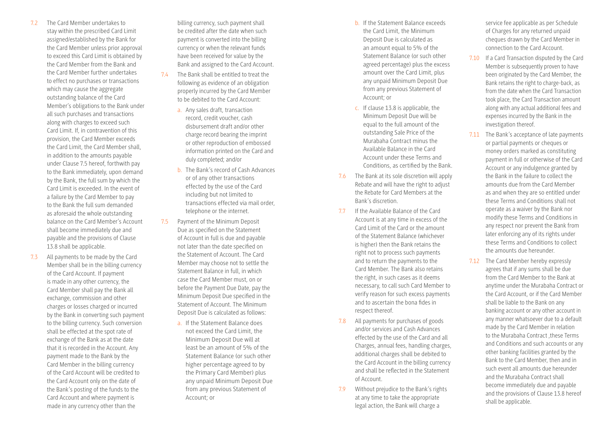- 7.2 The Card Member undertakes to stay within the prescribed Card Limit assigned/established by the Bank for the Card Member unless prior approval to exceed this Card Limit is obtained by the Card Member from the Bank and the Card Member further undertakes to effect no purchases or transactions which may cause the aggregate outstanding balance of the Card Member's obligations to the Bank under all such purchases and transactions along with charges to exceed such Card Limit. If, in contravention of this provision, the Card Member exceeds the Card Limit, the Card Member shall, in addition to the amounts payable under Clause 7.5 hereof, forthwith pay to the Bank immediately, upon demand by the Bank, the full sum by which the Card Limit is exceeded. In the event of a failure by the Card Member to pay to the Bank the full sum demanded as aforesaid the whole outstanding balance on the Card Member's Account shall become immediately due and payable and the provisions of Clause 13.8 shall be applicable.
- 7.3 All payments to be made by the Card Member shall be in the billing currency of the Card Account. If payment is made in any other currency, the Card Member shall pay the Bank all exchange, commission and other charges or losses charged or incurred by the Bank in converting such payment to the billing currency. Such conversion shall be effected at the spot rate of exchange of the Bank as at the date that it is recorded in the Account. Any payment made to the Bank by the Card Member in the billing currency of the Card Account will be credited to the Card Account only on the date of the Bank's posting of the funds to the Card Account and where payment is made in any currency other than the

billing currency, such payment shall be credited after the date when such payment is converted into the billing currency or when the relevant funds have been received for value by the Bank and assigned to the Card Account.

- 7.4 The Bank shall be entitled to treat the following as evidence of an obligation properly incurred by the Card Member to be debited to the Card Account:
	- a. Any sales draft, transaction record, credit voucher, cash disbursement draft and/or other charge record bearing the imprint or other reproduction of embossed information printed on the Card and duly completed; and/or
	- b. The Bank's record of Cash Advances or of any other transactions effected by the use of the Card including but not limited to transactions effected via mail order, telephone or the internet.
- 7.5 Payment of the Minimum Deposit Due as specified on the Statement of Account in full is due and payable not later than the date specified on the Statement of Account. The Card Member may choose not to settle the Statement Balance in full, in which case the Card Member must, on or before the Payment Due Date, pay the Minimum Deposit Due specified in the Statement of Account. The Minimum Deposit Due is calculated as follows:
	- a. If the Statement Balance does not exceed the Card Limit, the Minimum Deposit Due will at least be an amount of 5% of the Statement Balance (or such other higher percentage agreed to by the Primary Card Member) plus any unpaid Minimum Deposit Due from any previous Statement of Account; or
- b. If the Statement Balance exceeds the Card Limit, the Minimum Deposit Due is calculated as an amount equal to 5% of the Statement Balance (or such other agreed percentage) plus the excess amount over the Card Limit, plus any unpaid Minimum Deposit Due from any previous Statement of Account; or
- c. If clause 13.8 is applicable, the Minimum Deposit Due will be equal to the full amount of the outstanding Sale Price of the Murabaha Contract minus the Available Balance in the Card Account under these Terms and Conditions, as certified by the Bank.
- 7.6 The Bank at its sole discretion will apply Rebate and will have the right to adjust the Rebate for Card Members at the Bank's discretion.
- 7.7 If the Available Balance of the Card Account is at any time in excess of the Card Limit of the Card or the amount of the Statement Balance (whichever is higher) then the Bank retains the right not to process such payments and to return the payments to the Card Member. The Bank also retains the right, in such cases as it deems necessary, to call such Card Member to verify reason for such excess payments and to ascertain the bona fides in respect thereof.
- 7.8 All payments for purchases of goods and/or services and Cash Advances effected by the use of the Card and all Charges, annual fees, handling charges, additional charges shall be debited to the Card Account in the billing currency and shall be reflected in the Statement of Account.
- 7.9 Without prejudice to the Bank's rights at any time to take the appropriate legal action, the Bank will charge a

service fee applicable as per Schedule of Charges for any returned unpaid cheques drawn by the Card Member in connection to the Card Account.

- 7.10 If a Card Transaction disputed by the Card Member is subsequently proven to have been originated by the Card Member, the Bank retains the right to charge-back, as from the date when the Card Transaction took place, the Card Transaction amount along with any actual additional fees and expenses incurred by the Bank in the investigation thereof.
- 7.11 The Bank's acceptance of late payments or partial payments or cheques or money orders marked as constituting payment in full or otherwise of the Card Account or any indulgence granted by the Bank in the failure to collect the amounts due from the Card Member as and when they are so entitled under these Terms and Conditions shall not operate as a waiver by the Bank nor modify these Terms and Conditions in any respect nor prevent the Bank from later enforcing any of its rights under these Terms and Conditions to collect the amounts due hereunder.
- 7.12 The Card Member hereby expressly agrees that if any sums shall be due from the Card Member to the Bank at anytime under the Murabaha Contract or the Card Account, or if the Card Member shall be liable to the Bank on any banking account or any other account in any manner whatsoever due to a default made by the Card Member in relation to the Murabaha Contract, these Terms and Conditions and such accounts or any other banking facilities granted by the Bank to the Card Member, then and in such event all amounts due hereunder and the Murabaha Contract shall become immediately due and payable and the provisions of Clause 13.8 hereof shall be applicable.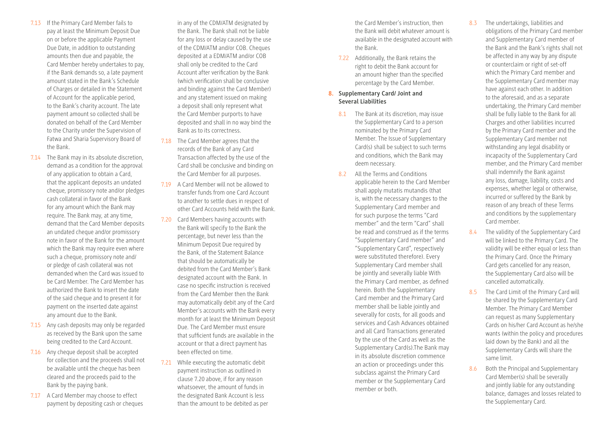- 7.13 If the Primary Card Member fails to pay at least the Minimum Deposit Due on or before the applicable Payment Due Date, in addition to outstanding amounts then due and payable, the Card Member hereby undertakes to pay, if the Bank demands so, a late payment amount stated in the Bank's Schedule of Charges or detailed in the Statement of Account for the applicable period, to the Bank's charity account. The late payment amount so collected shall be donated on behalf of the Card Member to the Charity under the Supervision of Fatwa and Sharia Supervisory Board of the Bank.
- 7.14 The Bank may in its absolute discretion, demand as a condition for the approval of any application to obtain a Card, that the applicant deposits an undated cheque, promissory note and/or pledges cash collateral in favor of the Bank for any amount which the Bank may require. The Bank may, at any time, demand that the Card Member deposits an undated cheque and/or promissory note in favor of the Bank for the amount which the Bank may require even where such a cheque, promissory note and/ or pledge of cash collateral was not demanded when the Card was issued to be Card Member. The Card Member has authorized the Bank to insert the date of the said cheque and to present it for payment on the inserted date against any amount due to the Bank.
- 7.15 Any cash deposits may only be regarded as received by the Bank upon the same being credited to the Card Account.
- 7.16 Any cheque deposit shall be accepted for collection and the proceeds shall not be available until the cheque has been cleared and the proceeds paid to the Bank by the paying bank.
- 7.17 A Card Member may choose to effect payment by depositing cash or cheques

in any of the CDM/ATM designated by the Bank. The Bank shall not be liable for any loss or delay caused by the use of the CDM/ATM and/or COB. Cheques deposited at a EDM/ATM and/or COB shall only be credited to the Card Account after verification by the Bank (which verification shall be conclusive and binding against the Card Member) and any statement issued on making a deposit shall only represent what the Card Member purports to have deposited and shall in no way bind the Bank as to its correctness.

- 7.18 The Card Member agrees that the records of the Bank of any Card Transaction affected by the use of the Card shall be conclusive and binding on the Card Member for all purposes.
- 7.19 A Card Member will not be allowed to transfer funds from one Card Account to another to settle dues in respect of other Card Accounts held with the Bank.
- 7.20 Card Members having accounts with the Bank will specify to the Bank the percentage, but never less than the Minimum Deposit Due required by the Bank, of the Statement Balance that should be automatically be debited from the Card Member's Bank designated account with the Bank. In case no specific instruction is received from the Card Member then the Bank may automatically debit any of the Card Member's accounts with the Bank every month for at least the Minimum Deposit Due. The Card Member must ensure that sufficient funds are available in the account or that a direct payment has been effected on time.
- 7.21 While executing the automatic debit payment instruction as outlined in clause 7.20 above, if for any reason whatsoever, the amount of funds in the designated Bank Account is less than the amount to be debited as per

the Card Member's instruction, then the Bank will debit whatever amount is available in the designated account with the Bank.

7.22 Additionally, the Bank retains the right to debit the Bank account for an amount higher than the specified percentage by the Card Member.

#### **8. Supplementary Card/ Joint and Several Liabilities**

- 8.1 The Bank at its discretion, may issue the Supplementary Card to a person nominated by the Primary Card Member. The Issue of Supplementary Card(s) shall be subject to such terms and conditions, which the Bank may deem necessary.
- 8.2 All the Terms and Conditions applicable herein to the Card Member shall apply mutatis mutandis (that is, with the necessary changes to the Supplementary Card member and for such purpose the terms "Card member" and the term "Card" shall be read and construed as if the terms "Supplementary Card member" and "Supplementary Card", respectively were substituted therefore). Every Supplementary Card member shall be jointly and severally liable With the Primary Card member, as defined herein. Both the Supplementary Card member and the Primary Card member shall be liable jointly and severally for costs, for all goods and services and Cash Advances obtained and all Card Transactions generated by the use of the Card as well as the Supplementary Card(s).The Bank may in its absolute discretion commence an action or proceedings under this subclass against the Primary Card member or the Supplementary Card member or both.

8.3 The undertakings, liabilities and obligations of the Primary Card member and Supplementary Card member of the Bank and the Bank's rights shall not be affected in any way by any dispute or counterclaim or right of set-off which the Primary Card member and the Supplementary Card member may have against each other. In addition to the aforesaid, and as a separate undertaking, the Primary Card member shall be fully liable to the Bank for all Charges and other liabilities incurred by the Primary Card member and the Supplementary Card member not withstanding any legal disability or incapacity of the Supplementary Card member, and the Primary Card member shall indemnify the Bank against any loss, damage, liability, costs and expenses, whether legal or otherwise, incurred or suffered by the Bank by reason of any breach of these Terms and conditions by the supplementary Card member.

- 8.4 The validity of the Supplementary Card will be linked to the Primary Card. The validity will be either equal or less than the Primary Card. Once the Primary Card gets cancelled for any reason, the Supplementary Card also will be cancelled automatically.
- 8.5 The Card Limit of the Primary Card will be shared by the Supplementary Card Member. The Primary Card Member can request as many Supplementary Cards on his/her Card Account as he/she wants (within the policy and procedures laid down by the Bank) and all the Supplementary Cards will share the same limit.
- 8.6 Both the Principal and Supplementary Card Member(s) shall be severally and jointly liable for any outstanding balance, damages and losses related to the Supplementary Card.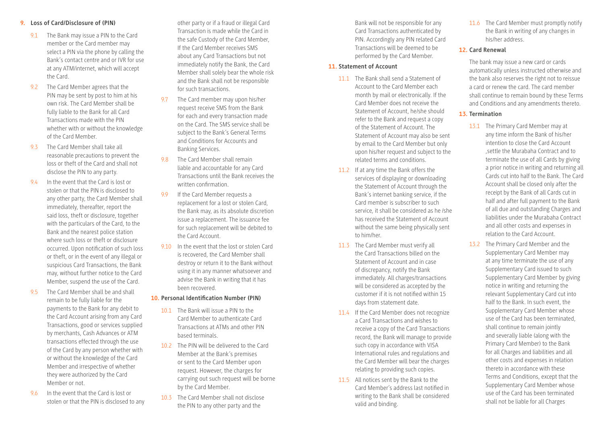#### **9. Loss of Card/Disclosure of (PIN)**

- 9.1 The Bank may issue a PIN to the Card member or the Card member may select a PIN via the phone by calling the Bank's contact centre and or IVR for use at any ATM/internet, which will accept the Card.
- 9.2 The Card Member agrees that the PIN may be sent by post to him at his own risk. The Card Member shall be fully liable to the Bank for all Card Transactions made with the PIN whether with or without the knowledge of the Card Member.
- 9.3 The Card Member shall take all reasonable precautions to prevent the loss or theft of the Card and shall not disclose the PIN to any party.
- 9.4 In the event that the Card is lost or stolen or that the PIN is disclosed to any other party, the Card Member shall immediately, thereafter, report the said loss, theft or disclosure, together with the particulars of the Card, to the Bank and the nearest police station where such loss or theft or disclosure occurred. Upon notification of such loss or theft, or in the event of any illegal or suspicious Card Transactions, the Bank may, without further notice to the Card Member, suspend the use of the Card.
- 9.5 The Card Member shall be and shall remain to be fully liable for the payments to the Bank for any debit to the Card Account arising from any Card Transactions, good or services supplied by merchants, Cash Advances or ATM transactions effected through the use of the Card by any person whether with or without the knowledge of the Card Member and irrespective of whether they were authorized by the Card Member or not.
- 9.6 In the event that the Card is lost or stolen or that the PIN is disclosed to any

other party or if a fraud or illegal Card Transaction is made while the Card in the safe Custody of the Card Member, If the Card Member receives SMS about any Card Transactions but not immediately notify the Bank, the Card Member shall solely bear the whole risk and the Bank shall not be responsible for such transactions.

- 9.7 The Card member may upon his/her request receive SMS from the Bank for each and every transaction made on the Card. The SMS service shall be subject to the Bank's General Terms and Conditions for Accounts and Banking Services.
- 9.8 The Card Member shall remain liable and accountable for any Card Transactions until the Bank receives the written confirmation.
- 9.9 If the Card Member requests a replacement for a lost or stolen Card, the Bank may, as its absolute discretion issue a replacement. The issuance fee for such replacement will be debited to the Card Account.
- 9.10 In the event that the lost or stolen Card is recovered, the Card Member shall destroy or return it to the Bank without using it in any manner whatsoever and advise the Bank in writing that it has been recovered.

#### **10. Personal Identification Number (PIN)**

- 10.1 The Bank will issue a PIN to the Card Member to authenticate Card Transactions at ATMs and other PIN based terminals.
- 10.2 The PIN will be delivered to the Card Member at the Bank's premises or sent to the Card Member upon request. However, the charges for carrying out such request will be borne by the Card Member.
- 10.3 The Card Member shall not disclose the PIN to any other party and the

Bank will not be responsible for any Card Transactions authenticated by PIN. Accordingly any PIN related Card Transactions will be deemed to be performed by the Card Member.

#### **11. Statement of Account**

- 11.1 The Bank shall send a Statement of Account to the Card Member each month by mail or electronically. If the Card Member does not receive the Statement of Account, he/she should refer to the Bank and request a copy of the Statement of Account. The Statement of Account may also be sent by email to the Card Member but only upon his/her request and subject to the related terms and conditions.
- 11.2 If at any time the Bank offers the services of displaying or downloading the Statement of Account through the Bank's internet banking service, if the Card member is subscriber to such service, it shall be considered as he /she has received the Statement of Account without the same being physically sent to him/her.
- 11.3 The Card Member must verify all the Card Transactions billed on the Statement of Account and in case of discrepancy, notify the Bank immediately. All charges/transactions will be considered as accepted by the customer if it is not notified within 15 days from statement date.
- 11.4 If the Card Member does not recognize a Card Transactions and wishes to receive a copy of the Card Transactions record, the Bank will manage to provide such copy in accordance with VISA International rules and regulations and the Card Member will bear the charges relating to providing such copies.
- 11.5 All notices sent by the Bank to the Card Member's address last notified in writing to the Bank shall be considered valid and binding.

11.6 The Card Member must promptly notify the Bank in writing of any changes in his/her address.

#### **12. Card Renewal**

The bank may issue a new card or cards automatically unless instructed otherwise and the bank also reserves the right not to reissue a card or renew the card. The card member shall continue to remain bound by these Terms and Conditions and any amendments thereto.

#### **13. Termination**

- 13.1 The Primary Card Member may at any time inform the Bank of his/her intention to close the Card Account ,settle the Murabaha Contract and to terminate the use of all Cards by giving a prior notice in writing and returning all Cards cut into half to the Bank. The Card Account shall be closed only after the receipt by the Bank of all Cards cut in half and after full payment to the Bank of all due and outstanding Charges and liabilities under the Murabaha Contract and all other costs and expenses in relation to the Card Account.
- 13.2 The Primary Card Member and the Supplementary Card Member may at any time terminate the use of any Supplementary Card issued to such Supplementary Card Member by giving notice in writing and returning the relevant Supplementary Card cut into half to the Bank. In such event, the Supplementary Card Member whose use of the Card has been terminated, shall continue to remain jointly and severally liable (along with the Primary Card Member) to the Bank for all Charges and liabilities and all other costs and expenses in relation thereto in accordance with these Terms and Conditions, except that the Supplementary Card Member whose use of the Card has been terminated shall not be liable for all Charges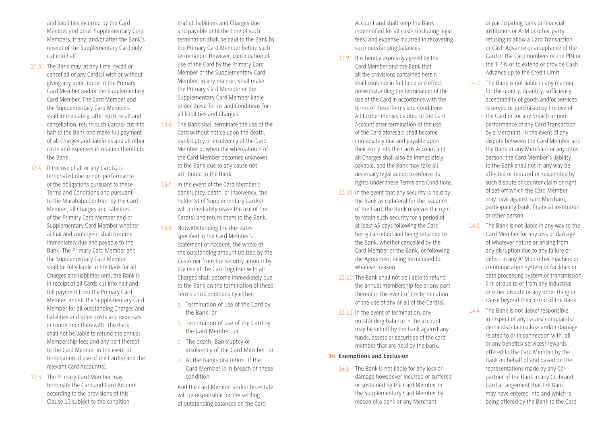and liabilities incurred by the Card Member and other Supplementary Card Members, if any, and/or after the Bank's receipt of the Supplementary Card duly cut into half.

- 13.3 The Bank may, at any time, recall or cancel all or any Card(s) with or without giving any prior notice to the Primary Card Member and/or the Supplementary Card Member. The Card Member and the Supplementary Card Members shall immediately, after such recall and cancellation, return such Card(s) cut into half to the Bank and make full payment of all Charges and liabilities and all other costs and expenses in relation thereto to the Bank.
- 13.4 If the use of all or any Card(s) is terminated due to non-performance of the obligations pursuant to these Terms and Conditions and pursuant to the Murabaha Contract by the Card Member, all Charges and liabilities of the Primary Card Member and or Supplementary Card Member whether actual and contingent shall become immediately due and payable to the Bank. The Primary Card Member and the Supplementary Card Member shall be fully liable to the Bank for all Charges and liabilities until the Bank is in receipt of all Cards cut into half and full payment from the Primary Card Member and/or the Supplementary Card Member for all outstanding Charges and liabilities and other costs and expenses in connection therewith. The Bank shall not be liable to refund the annual Membership fees and any part thereof to the Card Member in the event of termination of use of the Card(s) and the relevant Card Account(s).
- 13.5 The Primary Card Member may terminate the Card and Card Account according to the provisions of this Clause 13 subject to the condition

that all liabilities and Charges due and payable until the time of such termination shall be paid to the Bank by the Primary Card Member before such termination. However, continuation of use of the Card by the Primary Card Member or the Supplementary Card Member, in any manner, shall make the Primary Card Member or the Supplementary Card Member liable under these Terms and Conditions for all liabilities and Charges.

- 13.6 The Bank shall terminate the use of the Card without notice upon the death, bankruptcy or insolvency of the Card Member or when the whereabouts of the Card Member becomes unknown to the Bank due to any cause not attributed to the Bank.
- 13.7 In the event of the Card Member's bankruptcy, death, or insolvency, the holder(s) of Supplementary Card(s) will immediately cease the use of the Card(s) and return them to the Bank.
- 13.8 Notwithstanding the due dates specified in the Card Member's Statement of Account, the whole of the outstanding amount utilized by the Customer from the security amount by the use of the Card together with all Charges shall become immediately due to the Bank on the termination of these Terms and Conditions by either:
	- a. Termination of use of the Card by the Bank; or
	- b. Termination of use of the Card by the Card Member; or
	- c. The death, Bankruptcy or insolvency of the Card Member; or
	- d. At the Banks discretion, if the Card Member is in breach of these condition

And the Card Member and/or his estate will be responsible for the settling of outstanding balances on the Card

Account and shall keep the Bank indemnified for all costs (including legal fees) and expense incurred in recovering such outstanding balances.

- 13.9 It is hereby expressly agreed by the Card Member and the Bank that all the provisions contained herein shall continue in full force and effect notwithstanding the termination of the use of the Card in accordance with the terms of these Terms and Conditions. All further monies debited to the Card Account after termination of the use of the Card aforesaid shall become immediately due and payable upon their entry into the Cards Account and all Charges shall also be immediately payable, and the Bank may take all necessary legal action to enforce its rights under these Terms and Conditions.
- 13.10 In the event that any security is held by the Bank as collateral for the issuance of the Card, the Bank reserves the right to retain such security for a period of at least 45 days following the Card being cancelled and being returned to the Bank, whether cancelled by the Card Member or the Bank, or following the Agreement being terminated for whatever reason.
- 13.11 The Bank shall not be liable to refund the annual membership fee or any part thereof in the event of the termination of the use of any or all of the Card(s).
- 13.12 In the event of termination, any outstanding balance in the account may be set off by the bank against any funds, assets or securities of the card member that are held by the bank.

#### **14. Exemptions and Exclusion**

14.1 The Bank is not liable for any loss or damage howsoever incurred or suffered or sustained by the Card Member or the Supplementary Card Member by reason of a bank or any Merchant

or participating bank or financial institution or ATM or other party refusing to allow a Card Transaction or Cash Advance or acceptance of the Card or the Card numbers or the PIN or the T PIN or to extend or provide Cash Advance up to the Credit Limit.

- 14.2 The Bank is not liable in any manner for the quality, quantity, sufficiency, acceptability of goods and/or services reserved or purchased by the use of the Card or for any breach or nonperformance of any Card Transaction by a Merchant. In the event of any dispute between the Card Member and the Bank or any Merchant or any other person, the Card Member's liability to the Bank shall not in any way be affected or reduced or suspended by such dispute or counter claim or right of set-off which the Card Member may have against such Merchant, participating bank, financial institution or other person.
- 14.3 The Bank is not liable in any way to the Card Member for any loss or damage of whatever nature or arising from any disruption due to any failure or defect in any ATM or other machine or communication system or facilities or data processing system or transmission link or due to or from any industrial or other dispute or any other thing or cause beyond the control of the Bank.
- 14.4 The Bank is not liable/ responsible in respect of any issues/ complaints/ demands/ claims/ loss and/or damage related to or in connection with, all or any benefits/ services/ rewards offered to the Card Member by the Bank on behalf of and based on the representations made by any Copartner of the Bank in any Co-brand Card arrangement that the Bank may have entered into and which is being offered by the Bank to the Card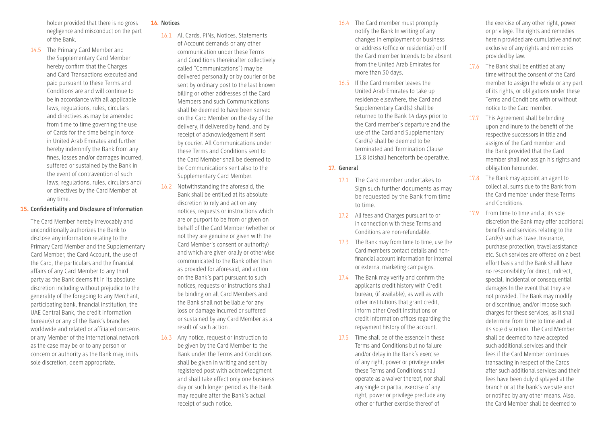holder provided that there is no gross negligence and misconduct on the part of the Bank.

14.5 The Primary Card Member and the Supplementary Card Member hereby confirm that the Charges and Card Transactions executed and paid pursuant to these Terms and Conditions are and will continue to be in accordance with all applicable laws, regulations, rules, circulars and directives as may be amended from time to time governing the use of Cards for the time being in force in United Arab Emirates and further hereby indemnify the Bank from any fines, losses and/or damages incurred, suffered or sustained by the Bank in the event of contravention of such laws, regulations, rules, circulars and/ or directives by the Card Member at any time.

#### **15. Confidentiality and Disclosure of Information**

The Card Member hereby irrevocably and unconditionally authorizes the Bank to disclose any information relating to the Primary Card Member and the Supplementary Card Member, the Card Account, the use of the Card, the particulars and the financial affairs of any Card Member to any third party as the Bank deems fit in its absolute discretion including without prejudice to the generality of the foregoing to any Merchant, participating bank, financial institution, the UAE Central Bank, the credit information bureau(s) or any of the Bank's branches worldwide and related or affiliated concerns or any Member of the International network as the case may be or to any person or concern or authority as the Bank may, in its sole discretion, deem appropriate.

#### **16. Notices**

- 16.1 All Cards, PINs, Notices, Statements of Account demands or any other communication under these Terms and Conditions (hereinafter collectively called "Communications") may be delivered personally or by courier or be sent by ordinary post to the last known billing or other addresses of the Card Members and such Communications shall be deemed to have been served on the Card Member on the day of the delivery, if delivered by hand, and by receipt of acknowledgement if sent by courier. All Communications under these Terms and Conditions sent to the Card Member shall be deemed to be Communications sent also to the Supplementary Card Member.
- 16.2 Notwithstanding the aforesaid, the Bank shall be entitled at its absolute discretion to rely and act on any notices, requests or instructions which are or purport to be from or given on behalf of the Card Member (whether or not they are genuine or given with the Card Member's consent or authority) and which are given orally or otherwise communicated to the Bank other than as provided for aforesaid, and action on the Bank's part pursuant to such notices, requests or instructions shall be binding on all Card Members and the Bank shall not be liable for any loss or damage incurred or suffered or sustained by any Card Member as a result of such action .
- 16.3 Any notice, request or instruction to be given by the Card Member to the Bank under the Terms and Conditions shall be given in writing and sent by registered post with acknowledgment and shall take effect only one business day or such longer period as the Bank may require after the Bank's actual receipt of such notice.
- 16.4 The Card member must promptly notify the Bank In writing of any changes in employment or business or address (office or residential) or If the Card member Intends to be absent from the United Arab Emirates for more than 30 days.
- 16.5 If the Card member leaves the United Arab Emirates to take up residence elsewhere, the Card and Supplementary Card(s) shall be returned to the Bank 14 days prior to the Card member's departure and the use of the Card and Supplementary Card(s) shall be deemed to be terminated and Termination Clause 13.8 (d)shall henceforth be operative.

#### **17. General**

- 17.1 The Card member undertakes to Sign such further documents as may be requested by the Bank from time to time.
- 17.2 All fees and Charges pursuant to or in connection with these Terms and Conditions are non-refundable.
- 17.3 The Bank may from time to time, use the Card members contact details and nonfinancial account information for internal or external marketing campaigns.
- 17.4 The Bank may verify and confirm the applicants credit history with Credit bureau, (if available), as well as with other institutions that grant credit, inform other Credit Institutions or credit Information offices regarding the repayment history of the account.
- 17.5 Time shall be of the essence in these Terms and Conditions but no failure and/or delay in the Bank's exercise of any right, power or privilege under these Terms and Conditions shall operate as a waiver thereof, nor shall any single or partial exercise of any right, power or privilege preclude any other or further exercise thereof of

the exercise of any other right, power or privilege. The rights and remedies herein provided are cumulative and not exclusive of any rights and remedies provided by law.

- 17.6 The Bank shall be entitled at any time without the consent of the Card member to assign the whole or any part of its rights, or obligations under these Terms and Conditions with or without notice to the Card member.
- 17.7 This Agreement shall be binding upon and inure to the benefit of the respective successors in title and assigns of the Card member and the Bank provided that the Card member shall not assign his rights and obligation hereunder.
- 17.8 The Bank may appoint an agent to collect all sums due to the Bank from the Card member under these Terms and Conditions.
- 17.9 From time to time and at its sole discretion the Bank may offer additional benefits and services relating to the Card(s) such as travel Insurance, purchase protection, travel assistance etc. Such services are offered on a best effort basis and the Bank shall have no responsibility for direct, indirect, special, Incidental or consequential damages In the event that they are not provided. The Bank may modify or discontinue, and/or impose such charges for these services, as it shall determine from time to time and at its sole discretion. The Card Member shall be deemed to have accepted such additional services and their fees if the Card Member continues transacting in respect of the Cards after such additional services and their fees have been duly displayed at the branch or at the bank's website and/ or notified by any other means. Also, the Card Member shall be deemed to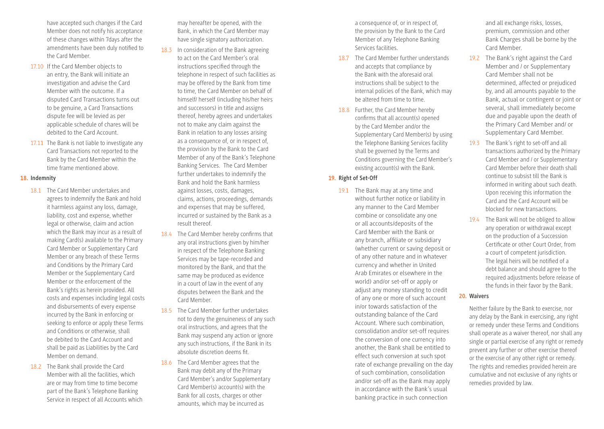have accepted such changes if the Card Member does not notify his acceptance of these changes within 7days after the amendments have been duly notified to the Card Member.

- 17.10 If the Card Member objects to an entry, the Bank will initiate an investigation and advise the Card Member with the outcome. If a disputed Card Transactions turns out to be genuine, a Card Transactions dispute fee will be levied as per applicable schedule of chares will be debited to the Card Account.
- 17.11 The Bank is not liable to investigate any Card Transactions not reported to the Bank by the Card Member within the time frame mentioned above.

#### **18. Indemnity**

- 18.1 The Card Member undertakes and agrees to indemnify the Bank and hold it harmless against any loss, damage, liability, cost and expense, whether legal or otherwise, claim and action which the Bank may incur as a result of making Card(s) available to the Primary Card Member or Supplementary Card Member or any breach of these Terms and Conditions by the Primary Card Member or the Supplementary Card Member or the enforcement of the Bank's rights as herein provided. All costs and expenses including legal costs and disbursements of every expense incurred by the Bank in enforcing or seeking to enforce or apply these Terms and Conditions or otherwise, shall be debited to the Card Account and shall be paid as Liabilities by the Card Member on demand.
- 18.2 The Bank shall provide the Card Member with all the facilities, which are or may from time to time become part of the Bank's Telephone Banking Service in respect of all Accounts which

may hereafter be opened, with the Bank, in which the Card Member may have single signatory authorization.

- 18.3 In consideration of the Bank agreeing to act on the Card Member's oral instructions specified through the telephone in respect of such facilities as may be offered by the Bank from time to time, the Card Member on behalf of himself/ herself (including his/her heirs and successors) in title and assigns thereof, hereby agrees and undertakes not to make any claim against the Bank in relation to any losses arising as a consequence of, or in respect of, the provision by the Bank to the Card Member of any of the Bank's Telephone Banking Services. The Card Member further undertakes to indemnify the Bank and hold the Bank harmless against losses, costs, damages, claims, actions, proceedings, demands and expenses that may be suffered, incurred or sustained by the Bank as a result thereof.
- 18.4 The Card Member hereby confirms that any oral instructions given by him/her in respect of the Telephone Banking Services may be tape-recorded and monitored by the Bank, and that the same may be produced as evidence in a court of law in the event of any disputes between the Bank and the Card Member.
- 18.5 The Card Member further undertakes not to deny the genuineness of any such oral instructions, and agrees that the Bank may suspend any action or ignore any such instructions, if the Bank in its absolute discretion deems fit.
- 18.6 The Card Member agrees that the Bank may debit any of the Primary Card Member's and/or Supplementary Card Member(s) account(s) with the Bank for all costs, charges or other amounts, which may be incurred as

a consequence of, or in respect of, the provision by the Bank to the Card Member of any Telephone Banking Services facilities.

- 18.7 The Card Member further understands and accepts that compliance by the Bank with the aforesaid oral instructions shall be subject to the internal policies of the Bank, which may be altered from time to time.
- 18.8 Further, the Card Member hereby confirms that all account(s) opened by the Card Member and/or the Supplementary Card Member(s) by using the Telephone Banking Services facility shall be governed by the Terms and Conditions governing the Card Member's existing account(s) with the Bank.

#### **19. Right of Set-Off**

19.1 The Bank may at any time and without further notice or liability in any manner to the Card Member combine or consolidate any one or all accounts/deposits of the Card Member with the Bank or any branch, affiliate or subsidiary (whether current or saving deposit or of any other nature and in whatever currency and whether in United Arab Emirates or elsewhere in the world) and/or set-off or apply or adjust any money standing to credit of any one or more of such account in/or towards satisfaction of the outstanding balance of the Card Account. Where such combination, consolidation and/or set-off requires the conversion of one currency into another, the Bank shall be entitled to effect such conversion at such spot rate of exchange prevailing on the day of such combination, consolidation and/or set-off as the Bank may apply in accordance with the Bank's usual banking practice in such connection

and all exchange risks, losses, premium, commission and other Bank Charges shall be borne by the Card Member.

- 19.2 The Bank's right against the Card Member and / or Supplementary Card Member shall not be determined, affected or prejudiced by, and all amounts payable to the Bank, actual or contingent or joint or several, shall immediately become due and payable upon the death of the Primary Card Member and/ or Supplementary Card Member.
- 19.3 The Bank's right to set-off and all transactions authorized by the Primary Card Member and / or Supplementary Card Member before their death shall continue to subsist till the Bank is informed in writing about such death. Upon receiving this information the Card and the Card Account will be blocked for new transactions.
- 19.4 The Bank will not be obliged to allow any operation or withdrawal except on the production of a Succession Certificate or other Court Order, from a court of competent jurisdiction. The legal heirs will be notified of a debt balance and should agree to the required adjustments before release of the funds in their favor by the Bank.

#### **20. Waivers**

Neither failure by the Bank to exercise, nor any delay by the Bank in exercising, any right or remedy under these Terms and Conditions shall operate as a waiver thereof, nor shall any single or partial exercise of any right or remedy prevent any further or other exercise thereof or the exercise of any other right or remedy. The rights and remedies provided herein are cumulative and not exclusive of any rights or remedies provided by law.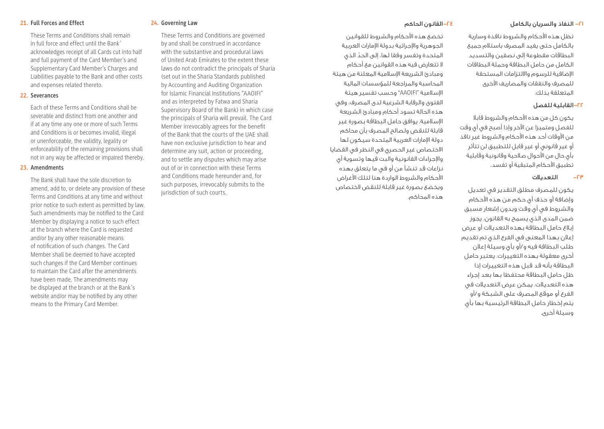#### -21 النفاذ والسريان بالكامل

تظل هذه األحكام والشروط نافذة وسارية بالكامل حتى يفيد المصرف باستالم جميع البطاقات مقطوعة إلى نصفين والتسديد الكامل من حامل البطاقة وحملة البطاقات اإلضافية للرسوم وااللتزامات المستحقة للمصرف والنفقات والمصاريف األخرى المتعلقة بذلك.

#### -22القابلية للفصل

يكون كل من هذه األحكام والشروط قابال للفصل ومتميزا عن اآلخر وإذا أصبح في أي وقت من األوقات أحد هذه األحكام والشروط غير نافذ أو غير قانوني أو غير قابل للتطبيق لن تتأثر بأي حال من األحوال صالحية وقانونية وقابلية تطبيق الأحكام المتبقية أو تفسد.

#### -23 التعديالت

يكون للمصرف مطلق التقدير في تعديل وإضافة أو حذف أي حكم من هذه األحكام والشروط في أي وقت وبدون إشعار مسبق ضمن المدى الذي يسمح به القانون. يجوز إبالغ حامل البطاقة بهذه التعديالت أو عرض إعالن بهذا المعنى في الفرع الذي تم تقديم طلب البطاقة فيه و/أو بأي وسيلة إعالن أخرى معقولة بهذه التغييرات. يعتبر حامل البطاقة بأنه قد قبل هذه التغييرات إذا ظل حامل البطاقة محتفظا بها بعد إجراء هذه التعديالت. يمكن عرض التعديالت في الفرع أو موقع المصرف على الشبكة و/أو يتم إخطار حامل البطاقة الرئيسية بها بأي وسيلة أخرى.

#### -24القانون الحاكم

تخضع هذه الأحكام والشروط للقوانين الجوهرية واإلجرائية بدولة اإلمارات العربية ّ المتحدة وتفسر وفقا لها، إلى الحد الذي ال تتعارض فيه هذه القوانين مع أحكام ومبادئ الشريعة اإلسالمية المعلنة من هيئة المحاسبة والمراجعة للمؤسسات المالية اإلسالمية "AAOIFI "وحسب تفسير هيئة الفتوى والرقابة الشرعية لدى المصرف، وفي هذه الحالة تسود أحكام ومبادئ الشريعة اإلسالمية. يوافق حامل البطاقة بصورة غير قابلة للنقض ولصالح المصرف بأن محاكم دولة اإلمارات العربية المتحدة سيكون لها االختصاص غير الحصري في النظر في القضايا واإلجراءات القانونية والبت فيها وتسوية أي نزاعات قد تنشأ من أو في ما يتعلق بهذه األحكام والشروط الواردة هنا لتلك األغراض ويخضع بصورة غير قابلة للنقض الختصاص هذه المحاكم.

#### **24. Governing Law**

These Terms and Conditions are governed by and shall be construed in accordance with the substantive and procedural laws of United Arab Emirates to the extent these laws do not contradict the principals of Sharia (set out in the Sharia Standards published by Accounting and Auditing Organization for Islamic Financial Institutions "AAOIFI" and as interpreted by Fatwa and Sharia Supervisory Board of the Bank) in which case the principals of Sharia will prevail. The Card Member irrevocably agrees for the benefit of the Bank that the courts of the UAE shall have non exclusive jurisdiction to hear and determine any suit, action or proceeding, and to settle any disputes which may arise out of or in connection with these Terms and Conditions made hereunder and, for such purposes, irrevocably submits to the jurisdiction of such courts.

These Terms and Conditions shall remain in full force and effect until the Bank' acknowledges receipt of all Cards cut into half and full payment of the Card Member's and Supplementary Card Member's Charges and Liabilities payable to the Bank and other costs and expenses related thereto.

#### **22. Severances**

**21. Full Forces and Effect** 

Each of these Terms and Conditions shall be severable and distinct from one another and if at any time any one or more of such Terms and Conditions is or becomes invalid, illegal or unenforceable, the validity, legality or enforceability of the remaining provisions shall not in any way be affected or impaired thereby.

#### **23. Amendments**

The Bank shall have the sole discretion to amend, add to, or delete any provision of these Terms and Conditions at any time and without prior notice to such extent as permitted by law. Such amendments may be notified to the Card Member by displaying a notice to such effect at the branch where the Card is requested and/or by any other reasonable means of notification of such changes. The Card Member shall be deemed to have accepted such changes if the Card Member continues to maintain the Card after the amendments have been made. The amendments may be displayed at the branch or at the Bank's website and/or may be notified by any other means to the Primary Card Member.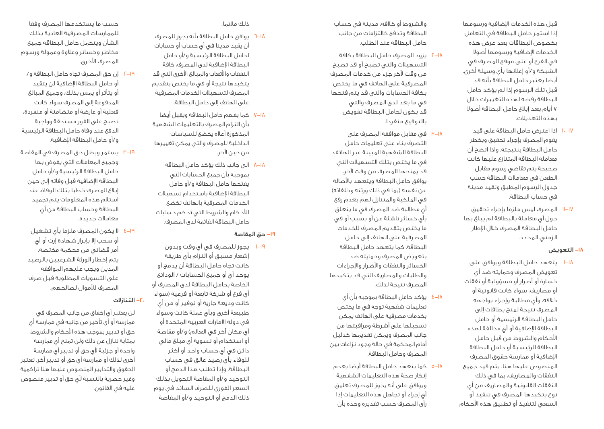قبل هذه الخدمات اإلضافية ورسومها إذا استمر حامل البطاقة في التعامل بخصوص البطاقات بعد عرض هذه الخدمات اإلضافية ورسومها أصوال في الفرع أو على موقع المصرف في الشبكة و/أو إعالنها بأي وسيلة أخرى، أيضا يعتبر حامل البطاقة بأنه قد قبل تلك الرسوم إذا لم يؤكد حامل البطاقة رفضه لهذه التغييرات خالل 7 أيام بعد إبالغ حامل البطاقة أصوال بهذه التعديالت.

- 10-17 اذا اعترض حامل البطاقة على قيد يقوم المصرف بإجراء تحقيق ويخطر حامل البطاقة بنتيجته. واذا اتضح أن معاملة البطاقة المتنازع عليها كانت صحيحة يتم تقاضي رسوم مقابل الطعن في معامالت البطاقة حسب جدول الرسوم المطبق وتقيد مدينة في حساب البطاقة.
- 11-17 المصرف ليس ملزما بإجراء تحقيق حول أي معاملة بالبطاقة لم يبلغ بها حامل البطاقة المصرف خالل اإلطار الزمني المحدد.

#### -18 التعويض

1-18 يتعهد حامل البطاقة ويوافق على تعويض المصرف وحمايته ضد أي خسارة أو أضرار أو مسؤولية أو نفقات أو مصاريف، سواء كانت قانونية أو خالفه، وأي مطالبة وإجراء يواجهه المصرف نتيجة لمنح بطاقات إلى حامل البطاقة الرئيسية أو حامل البطاقة اإلضافية أو أي مخالفة لهذه األحكام والشروط من قبل حامل البطاقة الرئيسية أو حامل البطاقة اإلضافية أو ممارسة حقوق المصرف المنصوص عليها هنا. يتم قيد جميع النفقات والمصاريف، بما في ذلك النفقات القانونية والمصاريف من أي نوع يتكبدها المصرف في تنفيذ أو السعي لتنفيذ أو تطبيق هذه األحكام

والشروط أو خالفه، مدينة في حساب البطاقة وتدفع كالتزامات من جانب حامل البطاقة عند الطلب.

- 2-18 يزود المصرف حامل البطاقة بكافة التسهيالت والتي تصبح أو قد تصبح من وقت آلخر جزء من خدمات المصرف المصرفية على الهاتف في ما يختص بكافة الحسابات والتي قد يتم فتحها في ما بعد لدى المصرف والتي قد يكون لحامل البطاقة تفويض بالتوقيع منفردا.
- 3-18 في مقابل موافقة المصرف على التصرف بناء على تعليمات حامل البطاقة الشفهية المبينة عبر الهاتف في ما يختص بتلك التسهيالت التي قد يمنحها المصرف من وقت آلخر، يوافق حامل البطاقة ويتعهد باألصالة عن نفسه (بما في ذلك ورثته وخلفائه) في الملكية والمتنازل لهم بعدم رفع أي مطالبة ضد المصرف في ما يتعلق بأي خسائر ناشئة عن أو بسبب أو في ما يختص بتقديم المصرف للخدمات المصرفية على الهاتف إلى حامل البطاقة. كما يتعهد حامل البطاقة بتعويض المصرف وحمايته ضد الخسائر والنفقات واألضرار واإلجراءات والطلبات والمصاريف التي قد يتكبدها المصرف نتيجة لذلك.
- 4-18 يؤكد حامل البطاقة بموجبه بأن أي تعليمات شفهية توجه في ما يختص بخدمات مصرفية على الهاتف يمكن تسجيلها على أشرطة ومراقبتها من جانب المصرف ويمكن تقديمها كدليل أمام المحكمة في حالة وجود نزاعات بين المصرف وحامل البطاقة.
- 5-18 كما يتعهد حامل البطاقة أيضا بعدم إنكار صحة هذه التعليمات الشفهية ويوافق على أنه يجوز للمصرف تعليق أي إجراء أو تجاهل هذه التعليمات إذا رأى المصرف حسب تقديره وحده بأن

#### ذلك مالئما.

- 6-18 يوافق حامل البطاقة بأنه يجوز للمصرف أن يقيد مدينا في أي حساب أو حسابات لحامل البطاقة الرئيسية و/أو حامل البطاقة اإلضافية لدى المصرف، كافة النفقات واألتعاب والمبالغ األخرى التي قد يتكبدها نتيجة أو في ما يختص بتقديم المصرف لتسهيالت الخدمات المصرفية على الهاتف إلى حامل البطاقة.
- 7-18 كما يفهم حامل البطاقة ويقبل أيضا بأن التزام المصرف بالتعليمات الشفهية المذكورة أعاله يخضع للسياسات الداخلية للمصرف والتي يمكن تغييرها من حين آلخر.
- 8-18 الى جانب ذلك يؤكد حامل البطاقة بموجبه بأن جميع الحسابات التي يفتحها حامل البطاقة و/أو حامل البطاقة اإلضافية باستخدام تسهيالت الخدمات المصرفية بالهاتف تخضع للأحكام والشروط التى تحكم حسابات حامل البطاقة القائمة لدى المصرف.

#### -19 حق المقاصة

1-19 يجوز للمصرف في أي وقت وبدون إشعار مسبق أو التزام بأي طريقة كانت تجاه حامل البطاقة أن يدمج أو يوحد أي أو جميع الحسابات / الودائع الخاصة بحامل البطاقة لدى المصرف أو أي فرع أو شركة تابعة أو فرعية (سواء كانت وديعة جارية أو توفير أو من أي طبيعة أخرى وبأي عملة كانت وسواء في دولة االمارات العربية المتحدة أو أي مكان آخر في العالم) و/أو مقاصة أو استخدام أو تسوية أي مبلغ مالي دائن في أي حساب واحد أو أكثر للوفاء بأي رصيد عالق في حساب البطاقة. وإذا تطلب هذا الدمج أو التوحيد و/أو المقاصة التحويل بذلك السعر الفوري للصرف السائد في يوم ذلك الدمج أو التوحيد و/أو المقاصة

حسب ما يستخدمها المصرف وفقا للممارسات المصرفية العادية بذلك الشأن ويتحمل حامل البطاقة جميع مخاطر وخسائر وعالوة وعمولة ورسوم المصرف الأخرى.

- 2-19 إن حق المصرف تجاه حامل البطاقة و/ أو حامل البطاقة اإلضافية لن يتقيد أو يتأثر أو يمس بذلك، وجميع المبالغ المدفوعة إلى المصرف سواء كانت فعلية أو عارضة أو متضامنة أو منفردة، تصبح على الفور مستحقة وواجبة الدفع عند وفاة حامل البطاقة الرئيسية و/أو حامل البطاقة اإلضافية.
- 3-19 يستمر ويظل حق المصرف في المقاصة وجميع المعامالت التي يفوض بها حامل البطاقة الرئيسية و/أو حامل البطاقة اإلضافية قبل وفاته إلى حين إبالغ المصرف خطيا بتلك الوفاة. عند استالم هذه المعلومات يتم تجميد البطاقة وحساب البطاقة من أي معامالت جديدة.
	- 4-19 ال يكون المصرف ملزما بأي تشغيل أو سحب إال بإبراز شهادة إرث أو أي أمر قضائي من محكمة مختصة. يتم إخطار الورثة الشرعيين بالرصيد المدين ويجب عليهم الموافقة على التسويات المطلوبة قبل صرف المصرف لألموال لصالحهم.

#### -20 التنازالت

لن يعتبر أي إخفاق من جانب المصرف في ممارسة أو أي تأخير من جانبه في ممارسة أي حق أو تدبير بموجب هذه األحكام والشروط، بمثابة تنازل عن ذلك ولن تمنح أي ممارسة واحدة أو جزئية ألي حق أو تدبير أي ممارسة أخرى لذلك أو ممارسة أي حق أو تدبير آخر. تعتبر الحقوق والتدابير المنصوص عليها هنا تراكمية وغير حصرية بالنسبة ألي حق أو تدبير منصوص عليه في القانون.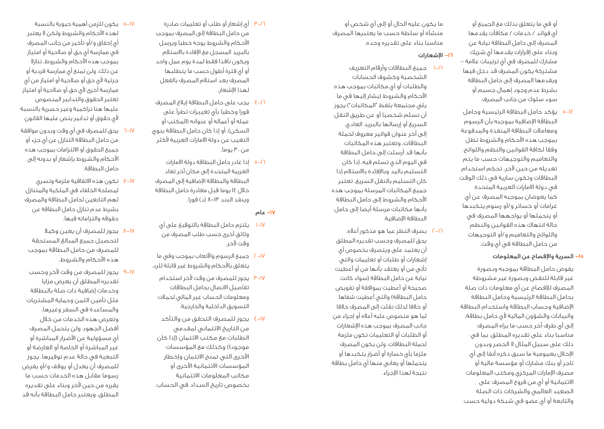أو في ما يتعلق بذلك مع الجميع أو أي فوائد / خدمات / مكافآت يقدمها المصرف إلى حامل البطاقة نيابة عن وبناء على إقرارات يقدمها أي شريك مشارك للمصرف في أي ترتيبات عالمة – مشتركة يكون المصرف قد دخل فيها ويقدمها المصرف إلى حامل البطاقة بشرط عدم وجود إهمال جسيم أو سوء سلوك من جانب المصرف.

5-14 يؤكد حامل البطاقة الرئيسية وحامل البطاقة اإلضافية بموجبه بأن الرسوم ومعامالت البطاقة المنفذة والمدفوعة بموجب هذه األحكام والشروط تظل وفقا لكافة القوانين والنظم واللوائح والتعاميم والتوجيهات حسب ما يتم تعديله من حين آلخر، تحكم استخدام البطاقات وتكون سارية في ذلك الوقت في دولة االمارات العربية المتحدة كما يعوضان بموجبه المصرف عن أي غرامات أو خسائر و/أو رسوم يتكبدها أو يتحملها أو يواجهها المصرف في حالة انتهاك هذه القوانين والنظم واللوائح والتعاميم و/أو التوجيهات من حامل البطاقة في أي وقت.

#### -15 السرية واإلفصاح عن المعلومات

يفوض حامل البطاقة بموجبه وبصورة غير قابلة للنقض وبصورة غير مشروطة المصرف لإلفصاح عن أي معلومات ذات صلة بحامل البطاقة الرئيسية وحامل البطاقة اإلضافية وحساب البطاقة واستخدام البطاقة والبيانات والشؤون المالية لأى حامل بطاقة، إلى أي طرف آخر حسب ما يراه المصرف مناسبا بناء على تقديره المطلق، بما في ذلك على سبيل المثال ال الحصر وبدون اإلخالل بعمومية ما سبق ذكره آنفا إلى أي تاجر أو بنك مشارك أو مؤسسة مالية أو مصرف اإلمارات المركزي ومكتب المعلومات االئتمانية أو أي من فروع المصرف على الصعيد العالمي والشركات ذات الصلة والتابعة أو أي عضو في شبكة دولية حسب

ما يكون عليه الحال أو إلى أي شخص أو منشأة أو سلطة حسب ما يعتبرها المصرف مناسبا بناء على تقديره وحده.

#### -16 اإلشعارات

- 1-16 جميع البطاقات وأرقام التعريف الشخصية وكشوف الحسابات والطلبات أو أي مكاتبات بموجب هذه األحكام والشروط )يشار إليها في ما يلي مجتمعة بلفظ "المكاتبات"( يجوز أن تسلم شخصيا أو عن طريق النقل السريع أو إرسالها بالبريد العادي إلى آخر عنوان فواتير معروف لحملة البطاقات، وتعتبر هذه المكاتبات بأنها قد أرسلت إلى حامل البطاقة في اليوم الذي تسلم فيه، إذا كان التسليم باليد وباإلفادة باالستالم إذا كان التسليم بالنقل السريع. تعتبر جميع المكاتبات المرسلة بموجب هذه األحكام والشروط إلى حامل البطاقة بأنها مكاتبات مرسلة أيضا إلى حامل البطاقة اإلضافية.
- 2-16 بصرف النظر عما هو مذكور أعاله، يحق للمصرف وحسب تقديره المطلق أن يعتمد على ويتصرف بخصوص أي إشعارات أو طلبات أو تعليمات والتي تأتي من أو يعتقد بأنها من أو أعطيت نيابة عن حامل البطاقة )سواء كانت صحيحة أو أعطيت بموافقة أو تفويض حامل البطاقة) والتي أعطيت شفاها أو خالفا لذلك نقلت إلى المصرف خالفا لما هو منصوص عليه أعاله أو إجراء من جانب المصرف بموجب هذه اإلشعارات أو الطلبات أو التعليمات تكون ملزمة لحملة البطاقات، ولن يكون المصرف ملزما بأي خسارة أو أضرار يتكبدها أو يتحملها أو يعاني منها أي حامل بطاقة نتيجة لهذا اإلجراء.
- 3-16 أي إشعار أو طلب أو تعليمات صادرة من حامل البطاقة إلى المصرف بموجب األحكام والشروط يوجه خطيا ويرسل بالبريد المسجل مع اإلفادة باالستالم ويكون نافذا فقط لمدة يوم عمل واحد أو أي فترة أطول حسب ما يتطلبها المصرف بعد استالم المصرف بالفعل لهذا اإلشعار.
- 4-16 يجب على حامل البطاقة إبالغ المصرف فورا وخطيا بأي تغييرات تطرأ على عمله أو أعماله أو عنوانه )المكتب أو السكن)، أو إذا كان حامل البطاقة ينوي التغيب عن دولة االمارات العربية ألكثر من ۳۰ يوما.
- 5-16 إذا غادر حامل البطاقة دولة االمارات العربية المتحدة إلى مكان آخر تعاد البطاقة والبطاقة اإلضافية إلى المصرف خالل 14 يوما قبل مغادرة حامل البطاقة وينفذ البند 8-13 )د( فورا.

#### -17 عام

- 1-17 يلتزم حامل البطاقة بالتوقيع على أي وثائق أخرى حسب طلب المصرف من وقت آلخر.
- 2-17 جميع الرسوم واألتعاب بموجب وفي ما يتعلق باألحكام والشروط غير قابلة للرد.
- 3-17 يجوز للمصرف من وقت آلخر استخدام تفاصيل االتصال بحامل البطاقات ومعلومات الحساب غير المالي لحمالت التسويق الداخلية والخارجية.
- 4-17 يجوز للمصرف التحقق من والتأكد من التاريخ االئتماني لمقدمي الطلبات مع مكتب االئتمان )إذا كان موجودا) وكذلك مع المؤسسات األخرى التي تمنح االئتمان وإخطار المؤسسات االئتمانية األخرى أو مكاتب المعلومات االئتمانية بخصوص تاريخ السداد في الحساب.
- 5-17 يكون للزمن أهمية حيوية بالنسبة لهذه األحكام والشروط ولكن ال يعتبر أي إخفاق و/أو تأخير من جانب المصرف في ممارسة أي حق أو صالحية أو امتياز بموجب هذه األحكام والشروط، تنازال عن ذلك، ولن تمنع أي ممارسة فردية أو جزئية لأي حق أو صلاحية أو امتياز من أي ممارسة أخرى لأي حق أو صلاحية أو امتياز. تعتبر الحقوق والتدابير المنصوص عليها هنا تراكمية وغير حصرية بالنسبة ألي حقوق أو تدابير ينص عليها القانون.
- 6-17 يحق للمصرف في أي وقت وبدون موافقة من حامل البطاقة التنازل عن أي جزء أو جميع الحقوق أو االلتزامات بموجب هذه األحكام والشروط بإشعار أو بدونه إلى حامل البطاقة.
- 7-17 تكون هذه االتفاقية ملزمة وتسري لمصلحة الخلفاء في الملكية والمتنازل لهم التابعين لحامل البطاقة والمصرف بشرط عدم تنازل حامل البطاقة عن حقوقه والتزاماته فيها.
- 8-17 يجوز للمصرف أن يعين وكيال لتحصيل جميع المبالغ المستحقة للمصرف من حامل البطاقة بموجب هذه الأحكام والشروط.
- 9-17 يجوز للمصرف من وقت آلخر وحسب تقديره المطلق أن يعرض مزايا وخدمات إضافية ذات صلة بالبطاقة مثل تأمين الثمن وحماية المشتريات والمساعدة في السفر وغيرها، وتعرض هذه الخدمات من خالل أفضل الجهود ولن يتحمل المصرف أي مسؤولية عن األضرار المباشرة أو غير المباشرة أو الخاصة أو العارضة أو التبعية في حالة عدم توفيرها. يجوز للمصرف أن يعدل أو يوقف و/أو يفرض رسوما مقابل هذه الخدمات حسب ما يقرره من حين آلخر وبناء على تقديره المطلق. ويعتبر حامل البطاقة بأنه قد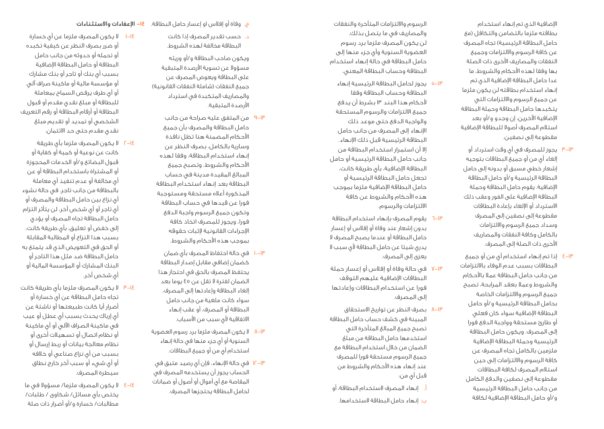اإلضافية الذي تم إنهاء استخدام بطاقته ملزما بالتضامن والتكافل )مع حامل البطاقة الرئيسية) تجاه المصرف عن كافة الرسوم وااللتزامات وجميع النفقات والمصاريف األخرى ذات الصلة بها وفقا لهذه األحكام والشروط، ما عدا حامل البطاقة اإلضافية الذي تم إنهاء استخدام بطاقته لن يكون ملزما عن جميع الرسوم وااللتزامات التي يتكبدها حامل البطاقة وحملة البطاقة اإلضافية اآلخرين، إن وجدو و/أو بعد استالم المصرف أصوال للبطاقة اإلضافية مقطوعة إلى نصفين.

- ٣–٣ يجوز للمصرف في اي وقت استرداد او إلغاء أي من أو جميع البطاقات بتوجيه إشعار خطي مسبق أو بدونه إلى حامل البطاقة الرئيسية و/أو حامل البطاقة اإلضافية. يقوم حامل البطاقة وحملة البطاقة اإلضافية على الفور وعقب ذلك االسترداد أو اإللغاء بإعادة البطاقات مقطوعة إلى نصفين إلى المصرف وسداد جميع الرسوم وااللتزامات بالكامل وكافة النفقات والمصاريف األخرى ذات الصلة إلى المصرف.
- إذا تم إنهاء استخدام أي من أو جميع 4 -13 البطاقات بسبب عدم الوفاء بااللتزامات من جانب حامل البطاقة عمال باألحكام والشروط وعمال بعقد المرابحة، تصبح جميع الرسوم وااللتزامات الخاصة بحامل البطاقة الرئيسية و/أو حامل البطاقة اإلضافية سواء كان فعلي أو طارئ مستحقة وواجبة الدفع فورا إلى المصرف. ويكون حامل البطاقة الرئيسية وحملة البطاقة اإلضافية ملزمين بالكامل تجاه المصرف عن كافة الرسوم وااللتزامات إلى حين استالم المصرف لكافة البطاقات مقطوعة إلى نصفين والدفع الكامل من جانب حامل البطاقة الرئيسية و/أو حامل البطاقة اإلضافية لكافة

الرسوم وااللتزامات المتأخرة والنفقات والمصاريف في ما يتصل بذلك. لن يكون المصرف ملزما برد رسوم العضوية السنوية وأي جزء منها إلى حامل البطاقة في حالة إنهاء استخدام البطاقة وحساب البطاقة المعني.

- ١٣–٥ يجوز لحامل البطاقة الرئيسية إنهاء البطاقة وحساب البطاقة وفقا ألحكام هذا البند 13 بشرط أن يدفع جميع االلتزامات والرسوم المستحقة والواجبة الدفع حتى موعد ذلك اإلنهاء إلى المصرف من جانب حامل البطاقة الرئيسية قبل ذلك اإلنهاء. إال أن استمرار استخدام البطاقة من جانب حامل البطاقة الرئيسية أو حامل البطاقة اإلضافية، بأي طريقة كانت، تجعل حامل البطاقة الرئيسية أو حامل البطاقة اإلضافية ملزما بموجب هذه األحكام والشروط عن كافة االلتزامات والرسوم.
- يقوم المصرف بإنهاء استخدام البطاقة ٦  $-1<sup>\mu</sup>$ بدون إشعار عند وفاة أو إفالس أو إعسار حامل البطاقة أو عندما يصبح المصرف ال يدري شيئا عن حامل البطاقة لأي سبب لا يعزى إلى المصرف.
- في حالة وفاة أو إفالس أو إعسار حملة 7 -13 البطاقات اإلضافية عليهم التوقف فورا عن استخدام البطاقات وإعادتها إلى المصرف.
- H−N بصرف النظر عن تواريخ الاستحقاق المبينة في كشف حساب حامل البطاقة تصبح جميع المبالغ المتأخرة التي استخدمها حامل البطاقة من مبلغ الضمان من خالل استخدام البطاقة مع جميع الرسوم مستحقة فورا للمصرف عند إنهاء هذه األحكام والشروط من قبل أي من:
- أ. إنهاء المصرف الستخدام البطاقة، أو
	- ب. إنهاء حامل البطاقة الستخدامها.

ج. وفاة أو إفالس او إعسار حامل البطاقة. اإلعفاءات واالستثناءات -14

> د. حسب تقدير المصرف إذا كانت البطاقة مخالفة لهذه الشروط.

ويكون صاحب البطاقة و/أو وريثه مسؤوال عن تسوية األرصدة المتبقية على البطاقة ويعوض المصرف عن جميع النفقات (شاملة النفقات القانونية) والمصاريف المتكبدة في استرداد األرصدة المتبقية.

- من المتفق عليه صراحة من جانب  $9 - IP$ حامل البطاقة والمصرف بأن جميع األحكام المضمنة هنا تظل نافذة وسارية بالكامل، بصرف النظر عن إنهاء استخدام البطاقة، وفقا لهذه األحكام والشروط، وتصبح جميع المبالغ المقيدة مدينة في حساب البطاقة بعد إنهاء استخدام البطاقة المذكورة أعاله مستحقة ومستوجبة فورا عن قيدها في حساب البطاقة وتكون جميع الرسوم واجبة الدفع فورا، ويجوز للمصرف اتخاذ كافة اإلجراءات القانونية إلثبات حقوقه بموجب هذه األحكام والشروط.
- ١٠–١٣ في حالة احتفاظ المصرف باي ضمان كضمان إضافي مقابل إصدار البطاقة يحتفظ المصرف بالحق في احتجاز هذا الضمان لفترة ال تقل عن 45 يوما بعد إلغاء البطاقة وإعادتها إلى المصرف، سواء كانت ملغية من جانب حامل البطاقة أو المصرف، أو عقب إنهاء الاتفاقية لأي سبب من الأسباب.
- 11 ال يكون المصرف ملزما برد رسوم العضوية  $||-||^p$ السنوية أو أي جزء منها في حالة إنهاء استخدام أي من أو جميع البطاقات.
- IF–I۳ في حالة الإنـهاء، فإن اي رصيد متبق في الحساب يجوز أن يستخدمه المصرف في المقاصة مع أي أموال أو أصول أو ضمانات لحامل البطاقة يحتجزها المصرف.
- ١٤–١ لا يكون المصرف ملزما عن اي خسارة أو ضرر بصرف النظر عن كيفية تكبده أو تحمله أو حدوثه من جانب حامل البطاقة أو حامل البطاقة اإلضافية بسبب أي بنك أو تاجر أو بنك مشارك أو مؤسسة مالية أو ماكينة صراف آلي أو أي طرف يرفض السماح بمعاملة للبطاقة أو مبلغ نقدي مقدم أو قبول البطاقة أو أرقام البطاقة أو رقم التعريف الشخصي أو تمديد أو تقديم مبلغ نقدي مقدم حتى حد االئتمان.
- ال يكون المصرف ملزما بأي طريقة 2 -14 كانت عن نوعية أو كمية أو كفاية أو قبول البضائع و/أو الخدمات المحجوزة أو المشتراة باستخدام البطاقة أو عن أي مخالفة أو عدم تنفيذ أي معاملة بالبطاقة من جانب تاجر. في حالة نشوء أي نزاع بين حامل البطاقة والمصرف أو أي تاجر أو أي شخص آخر، لن يتأثر التزام حامل البطاقة تجاه المصرف أو يؤدي إلى خفض أو تعليق، بأي طريقة كانت، بسبب هذا النزاع أو المطالبة المقابلة أو الحق في التعويض الذي قد يتمتع به حامل البطاقة ضد مثل هذا التاجر أو البنك المشارك أو المؤسسة المالية أو أي شخص آخر.
- ال يكون المصرف ملزما بأي طريقة كانت 3 -14 تجاه حامل البطاقة عن أي خسارة أو أضرار أيا كانت طبيعتها أو ناشئة عن أي إرباك يحدث بسبب أي عطل أو عيب في ماكينة الصراف اآللي أو أي ماكينة أو نظام اتصال أو تسهيالت أخرى أو نظام معالجة بيانات أو ربط إرسال أو بسبب من أي نزاع صناعي أو خالفه أو أي شيء أو سبب آخر خارج نطاق سيطرة المصرف.
- ال يكون المصرف ملزما/ مسؤوال في ما  $E-IE$ يختص بأي مسائل/ شكاوى / طلبات/ مطالبات/ خسارة و/أو أضرار ذات صلة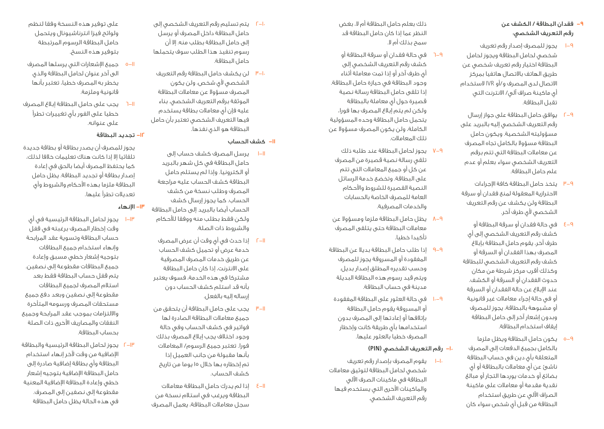### -9 فقدان البطاقة / الكشف عن رقم التعريف الشخصي:

- 1-9 يجوز للمصرف إصدار رقم تعريف شخصي لحامل البطاقة ويجوز لحامل البطاقة اختيار رقم تعريف شخصي عن طريق الهاتف باالتصال هاتفيا بمركز االتصال لدى المصرف و/أو IVR الستخدام أي ماكينة صراف آلي/ االنترنت التي تقبل البطاقة.
- 2-9 يوافق حامل البطاقة على جواز إرسال رقم التعريف الشخصي إليه بالبريد على مسؤوليته الشخصية. ويكون حامل البطاقة مسؤوال بالكامل تجاه المصرف عن معامالت البطاقة التي تتم برقم التعريف الشخصي سواء بعلم أو عدم علم حامل البطاقة.
- 3-9 يتخذ حامل البطاقة كافة اإلجراءات االحترازية المعقولة لمنع فقدان أو سرقة البطاقة ولن يكشف عن رقم التعريف الشخصي لأي طرف آخر.
- 4-9 في حالة فقدان أو سرقة البطاقة أو كشف رقم التعريف الشخصي إلى أي طرف آخر، يقوم حامل البطاقة بإبالغ المصرف بهذا الفقدان أو السرقة أو كشف رقم التعريف الشخصي للبطاقة وكذلك أقرب مركز شرطة من مكان حدوث الفقدان أو السرقة أو الكشف. عند اإلبالغ عن حالة الفقدان أو السرقة أو في حالة إجراء معامالت غير قانونية أو مشبوهة بالبطاقة، يجوز للمصرف وبدون إشعار آخر إلى حامل البطاقة إيقاف استخدام البطاقة.
- 5-9 يكون حامل البطاقة ويظل ملزما بالكامل بجميع الدفعات إلى المصرف المتعلقة بأي دين في حساب البطاقة ناشئ عن أي معامالت بالبطاقة أو أي بضائع أو خدمات يوردها التجار أو مبالغ نقدية مقدمة أو معامالت على ماكينة الصراف اآللي عن طريق استخدام البطاقة من قبل أي شخص سواء كان

ذلك بعلم حامل البطاقة أم ال، بغض النظر عما إذا كان حامل البطاقة قد سمح بذلك أم ال.

- 6-9 في حالة فقدان أو سرقة البطاقة أو كشف رقم التعريف الشخصي إلى أي طرف آخر أو إذا تمت معاملة أثناء وجود البطاقة في حيازة حامل البطاقة. إذا تلقى حامل البطاقة رسالة نصية قصيرة حول أي معاملة بالبطاقة ولكن لم يتم إبالغ المصرف بها فورا، يتحمل حامل البطاقة وحده المسؤولية الكاملة، ولن يكون المصرف مسؤوال عن تلك المعامالت.
- 7-9 يجوز لحامل البطاقة عند طلبه ذلك تلقي رسالة نصية قصيرة من المصرف عن كل أو جميع المعامالت التي تتم على البطاقة. وتخضع خدمة الرسائل النصية القصيرة للشروط واألحكام العامة للمصرف الخاصة بالحسابات والخدمات المصرفية.
- 8-9 يظل حامل البطاقة ملزما ومسؤوال عن معامالت البطاقة حتى يتلقى المصرف تأكيدا خطيا.
- 9-9 إذا طلب حامل البطاقة بديال عن البطاقة المفقودة أو المسروقة يجوز للمصرف وحسب تقديره المطلق إصدار بديل. ويتم قيد رسوم هذه البطاقة البديلة مدينة في حساب البطاقة.
- 10-9 في حالة العثور على البطاقة المفقودة أو المسروقة يقوم حامل البطاقة بإتالفها أو إعادتها إلى المصرف بدون استخدامها بأي طريقة كانت وإخطار المصرف خطيا بالعثور عليها.
	- -10 رقم التعريف الشخصي **)PIN)**
- 1-10 يقوم المصرف بإصدار رقم تعريف شخصي لحامل البطاقة لتوثيق معامالت البطاقة في ماكينات الصرف اآللي والماكينات األخرى التي يستخدم فيها رقم التعريف الشخصي.
- 2-10 يتم تسليم رقم التعريف الشخصي إلى حامل البطاقة داخل المصرف أو يرسل إلى حامل البطاقة بطلب منه. إال أن رسوم تنفيذ هذا الطلب سوف يتحملها حامل البطاقة.
- 3-10 لن يكشف حامل البطاقة رقم التعريف الشخصي ألي شخص، ولن يكون المصرف مسؤوال عن معامالت البطاقة الموثقة برقم التعريف الشخصي. بناء عليه فإن أي معامالت بطاقة يستخدم فيها التعريف الشخصي تعتبر بأن حامل البطاقة هو الذي نفذها.

1-11 يرسل المصرف كشف حساب إلى حامل البطاقة في كل شهر بالبريد أو الكترونيا. وإذا لم يستلم حامل البطاقة كشف الحساب عليه مراجعة المصرف وطلب نسخة من كشف الحساب. كما يجوز إرسال كشف الحساب أيضا بالبريد إلى حامل البطاقة ولكن فقط بطلب منه ووفقا لألحكام

-11 كشف الحساب

يجوز للمصرف أن يصدر بطاقة أو بطاقة جديدة تلقائيا إال إذا كانت هناك تعليمات خالفا لذلك، كما يحتفظ المصرف أيضا بالحق في إعادة إصدار بطاقة أو تجديد البطاقة. يظل حامل البطاقة ملزما بهذه األحكام والشروط وأي تعديالت تطرأ عليها.

### -13 اإلنهاء

- 1-13 يجوز لحامل البطاقة الرئيسية في أي وقت إخطار المصرف برغبته في قفل حساب البطاقة وتسوية عقد المرابحة وإنهاء استخدام جميع البطاقات بتوجيه إشعار خطي مسبق وإعادة جميع البطاقات مقطوعة إلى نصفين. يتم قفل حساب البطاقة فقط بعد استالم المصرف لجميع البطاقات مقطوعة إلى نصفين وبعد دفع جميع مستحقات المصرف ورسومه المتأخرة وااللتزامات بموجب عقد المرابحة وجميع النفقات والمصاريف الأخرى ذات الصلة بحساب البطاقة.
- 2-13 يجوز لحامل البطاقة الرئيسية والبطاقة اإلضافية من وقت آلخر إنهاء استخدام البطاقة وأي بطاقة إضافية صادرة إلى حامل البطاقة اإلضافية بتوجيه إشعار خطي وإعادة البطاقة اإلضافية المعنية مقطوعة إلى نصفين إلى المصرف. في هذه الحالة يظل حامل البطاقة
- على توفير هذه النسخة وفقا لنظم ولوائح فيزا انترناشيونال ويتحمل حامل البطاقة الرسوم المرتبطة بتوفير هذه النسخ.
- 5-11 جميع اإلشعارات التي يرسلها المصرف الى آخر عنوان لحامل البطاقة والذي يخطر به المصرف خطيا، تعتبر بأنها قانونية وملزمة.
- 6-11 يجب على حامل البطاقة إبالغ المصرف خطيا على الفور بأي تغييرات تطرأ على عنوانه.

#### -12 تجديد البطاقة

- والشروط ذات الصلة. 2-11 إذا حدث في أي وقت أن عرض المصرف خدمة عرض أو تحميل كشف الحساب عن طريق خدمات المصرف المصرفية على االنترنت، إذا كان حامل البطاقة مشتركا في هذه الخدمة، فسوف يعتبر بأنه قد استلم كشف الحساب دون إرساله إليه بالفعل.
	- 3-11 يجب على حامل البطاقة أن يتحقق من جميع معامالت البطاقة الصادرة لها فواتير في كشف الحساب وفي حالة وجود اختالف يجب إبالغ المصرف بذلك فورا. تعتبر جميع الرسوم/ المعامالت بأنها مقبولة من جانب العميل إذا تم إخطاره بها خالل 15 يوما من تاريخ كشف الحساب.
	- 4-11 إذا لم يدرك حامل البطاقة معامالت البطاقة ويرغب في استالم نسخة من سجل معامالت البطاقة، يعمل المصرف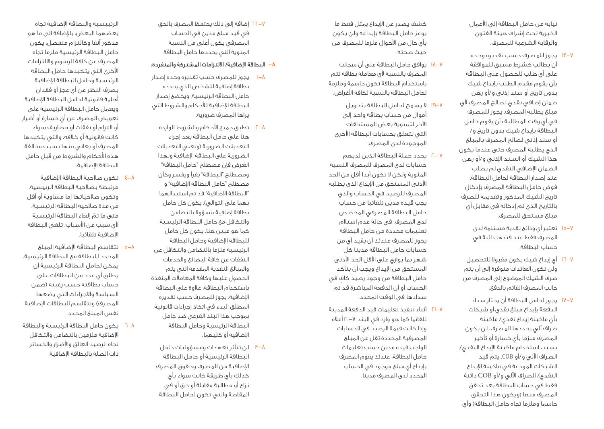نيابة عن حامل البطاقة إلى األعمال الخيرية تحت إشراف هيئة الفتوى والرقابة الشرعية للمصرف.

- 14-7 يجوز للمصرف حسب تقديره وحده أن يطالب كشرط مسبق للموافقة على أي طلب للحصول على البطاقة بأن يقوم مقدم الطلب بإيداع شيك بدون تاريخ أو سند إذني و/أو رهن ضمان إضافي نقدي لصالح المصرف ألي مبلغ يطلبه المصرف. يجوز للمصرف في أي وقت المطالبة بأن يقوم حامل البطاقة بإيداع شيك بدون تاريخ و/ أو سند إذني لصالح المصرف بالمبلغ الذي يطلبه المصرف حتى عندما يكون هذا الشيك أو السند اإلذني و/أو رهن الضمان اإلضافي النقدي لم يطلب عند إصدار البطاقة لحامل البطاقة. فوض حامل البطاقة المصرف بإدخال تاريخ الشيك المذكور وتقديمه للصرف بالتاريخ الذي تم إدخاله في مقابل أي مبلغ مستحق للمصرف.
	- 15-7 تعتبر أي ودائع نقدية مستلمة لدى المصرف فقط عند قيدها دائنة في حساب البطاقة.
- 16-7 أي إيداع شيك يكون مقبوال للتحصيل ولن تكون العائدات متوفرة إلى أن يتم صرف الشيك الموضوع إلى المصرف من جانب المصرف القائم بالدفع.
- 17-7 يجوز لحامل البطاقة أن يختار سداد الدفعة بإيداع مبلغ نقدي أو شيكات بأي ماكينة إيداع نقدي/ ماكينة صراف آلي يحددها المصرف، لن يكون المصرف ملزما بأي خسارة أو تأخير بسبب استخدام ماكينة اإليداع النقدي/ الصراف اآللي و/أو COB. يتم قيد الشيكات المودعة في ماكينة اإليداع النقدي/ الصراف اآللي و/أو COB دائنة فقط في حساب البطاقة بعد تحقق المصرف منها (ويكون هذا التحقق حاسما وملزما تجاه حامل البطاقة) وأي

كشف يصدر عن اإليداع يمثل فقط ما يوعز حامل البطاقة بإيداعه ولن يكون بأي حال من األحوال ملزما للمصرف من حيث صحته.

- 18-7 يوافق حامل البطاقة على أن سجالت المصرف بالنسبة ألي معاملة بطاقة تتم باستخدام البطاقة تكون حاسمة وملزمة لحامل البطاقة بالنسبة لكافة األغراض.
- 19-7 ال يسمح لحامل البطاقة بتحويل أموال من حساب بطاقة واحد إلى اآلخر لتسوية بعض المستحقات التي تتعلق بحسابات البطاقة األخرى الموجودة لدى المصرف.
- 20-7 يحدد حملة البطاقة الذين لديهم حسابات لدى المصرف للمصرف النسبة المئوية ولكن ال تكون أبدا أقل من الحد األدنى المستحق من اإليداع الذي يطلبه المصرف للرصيد في الحساب والذي يجب قيده مدين تلقائيا من حساب حامل البطاقة المصرفي المخصص لدى المصرف. في حالة عدم استالم تعليمات محددة من حامل البطاقة يجوز للمصرف عندئذ أن يقيد أي من حسابات حامل البطاقة مدينا كل شهر بما يوازي على األقل الحد األدنى المستحق من اإليداع ويجب أن يتأكد ٍ حامل البطاقة من وجود رصيد كاف في الحساب أو أن الدفعة المباشرة قد تم سدادها في الوقت المحدد.
- 21-7 أثناء تنفيذ تعليمات قيد الدفعة المدينة تلقائيا كما هو وارد في البند 20-7 أعاله وإذا كانت قيمة الرصيد في الحسابات المصرفية المحددة تقل عن المبلغ الواجب قيده مدين حسب تعليمات حامل البطاقة، عندئذ يقوم المصرف بإيداع أي مبلغ موجود في الحساب المحدد لدى المصرف مدينا.

22-7 إضافة إلى ذلك يحتفظ المصرف بالحق في قيد مبلغ مدين في الحساب المصرفي يكون أعلى من النسبة المئوية التي يحددها حامل البطاقة.

#### -8 البطاقة اإلضافية/ االلتزامات المشتركة والمنفردة:

- 1-8 يجوز للمصرف حسب تقديره وحده إصدار بطاقة إضافية للشخص الذي يحدده حامل البطاقة الرئيسية. ويخضع إصدار البطاقة اإلضافية لألحكام والشروط التي يراها المصرف ضرورية.
- 2-8 تطبق جميع األحكام والشروط الواردة هنا على حامل البطاقة بعد إجراء التعديلات الضرورية (وتعنى التعديلات الضرورية على البطاقة اإلضافية ولهذا الغرض فإن مصطلح "حامل البطاقة" ومصطلح "البطاقة" يقرأ ويفسر وكأن مصطلح "حامل البطاقة اإلضافية" و "البطاقة االضافية" قد تم استبدالهما بهما على التوالي). يكون كل حامل بطاقة إضافية مسؤوال بالتضامن والتكافل مع حامل البطاقة الرئيسية كما هو مبين هنا. يكون كل حامل للبطاقة اإلضافية وحامل البطاقة الرئيسية ملزما بالتضامن والتكافل عن النفقات عن كافة البضائع والخدمات والمبالغ النقدية المقدمة التي يتم الحصول عليها وكافة المعامالت المنفذة باستخدام البطاقة، عالوة على البطاقة اإلضافية. يجوز للمصرف حسب تقديره المطلق البدء في اتخاذ إجراءات قانونية بموجب هذا البند الفرعي ضد حامل البطاقة الرئيسية وحامل البطاقة اإلضافية أو كليهما.
	- 3-8 لن تتأثر تعهدات ومسؤوليات حامل البطاقة الرئيسية أو حامل البطاقة اإلضافية من المصرف وحقوق المصرف كذلك بأي طريقة كانت سواء بأي نزاع أو مطالبة مقابلة أو حق أو في المقاصة والتي تكون لحامل البطاقة

الرئييسية والبطاقة اإلضافية تجاه بعضهما البعض. باإلضافة الى ما هو مذكور آنفا وكالتزام منفصل، يكون حامل البطاقة الرئيسية ملزما تجاه المصرف عن كافة الرسوم وااللتزامات األخرى التي يتكبدها حامل البطاقة الرئيسية وحامل البطاقة اإلضافية بصرف النظر عن أي عجز أو فقدان أهلية قانونية لحامل البطاقة اإلضافية ويعمل حامل البطاقة الرئيسية على تعويض المصرف عن أي خسارة أو أضرار أو التزام أو نفقات أو مصاريف سواء كانت قانونية أو خالفه، والتي يتكبدها المصرف أو يعاني منها بسبب مخالفة هذه األحكام والشروط من قبل حامل البطاقة اإلضافية.

- 4-8 تكون صالحية البطاقة اإلضافية مرتبطة بصالحية البطاقة الرئيسية، وتكون صالحياتها إما مساوية أو أقل من مدة صالحية البطاقة الرئيسية. ّ متى ما تم إلغاء البطاقة الرئيسية لأى سبب من الأسباب، تلغى البطاقة اإلضافية تلقائيا.
- 5-8 تتقاسم البطاقة اإلضافية المبلغ المحدد للبطاقة مع البطاقة الرئيسية. يمكن لحامل البطاقة الرئيسية أن يطلق أي عدد من البطاقات على حساب بطاقته حسب رغبته )ضمن السياسة واالجراءات التي يضعها المصرف) وتتقاسم البطاقات الإضافية نفس المبلغ المحدد.
- 6-8 يكون حامل البطاقة الرئيسية والبطاقة اإلضافية ملزمين بالتضامن والتكافل تجاه الرصيد العالق واألضرار والخسائر ذات الصلة بالبطاقة اإلضافية.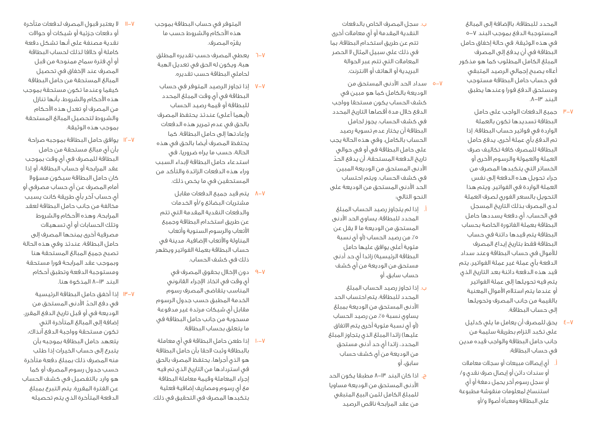المحدد للبطاقة، بالإضافة إلى المبالغ<br>المستوجبة الدفع بموجب البند ٧–٥ في هذه الوثيقة. في حالة إخفاق حامل البطاقة في أن يدفع إلى المصرف المبلغ الكامل المطلوب كما هو مذكور أعاله يصبح إجمالي الرصيد المتبقي في حساب حامل البطاقة مستوجب ومستحق الدفع فورا وعندها يطبق<br>البند ١٣–٨.

- جميع الدفعات الواجب على حامل  $^{\mu}$ -V البطاقة تسديدها تكون بالعملة الواردة في فواتير حساب البطاقة. إذا تم الدفع بأي عملة أخرى، يدفع حامل البطاقة للمصرف كافة تكاليف صرف العملة والعمولة والرسوم الأخرى أو الخسائر التي يتكبدها المصرف من جراء تحويل هذه الدفعة إلى نفس العملة الواردة في الفواتير. ويتم هذا التحويل بالسعر الفوري لصرف العملة لدى المصرف بذلك التاريخ المسجل في الحساب. أي دفعة يسددها حامل البطاقة بعملة الفاتورة الخاصة بحساب البطاقة يتم قيدها دائنة في حساب البطاقة فقط بتاريخ إيداع المصرف لألموال في حساب البطاقة وعند سداد الدفعة بأي عملة غير عملة الفواتير، يتم قيد هذه الدفعة دائنة بعد التاريخ الذي يتم فيه تحويلها إلى عملة الفواتير أو عندما يتم استالم األموال المعنية بالقيمة من جانب المصرف وتحويلها إلى حساب البطاقة.
- يحق للمصرف أن يعامل ما يلي كدليل  $E-V$ على تكبد التزام بطريقة سليمة من جانب حامل البطاقة والواجب قيده مدين في حساب البطاقة:
- أى إيصالات مبيعات أو سجلات معاملات أو سندات دائن أو إيصال صرف نقدي و/ أو سجل رسوم آخر يحمل دمغة أو أي استنساخ لمعلومات منقوشة مطبوعة على البطاقة ومعبأة أصوال و/أو
- ب. سجل المصرف الخاص بالدفعات النقدية المقدمة أو أي معامالت أخرى تتم عن طريق استخدام البطاقة، بما في ذلك على سبيل المثال ال الحصر المعامالت التي تتم عبر الحوالة البريدية أو الهاتف أو االنترنت.
- 0−۷ − سداد الحد الادنى المستحق من الوديعة بالكامل كما هو مبين في كشف الحساب يكون مستحقا وواجب الدفع خالل مدة أقصاها التاريخ المحدد في كشف الحساب. يجوز لحامل البطاقة أن يختار عدم تسوية رصيد الحساب بالكامل، وفي هذه الحالة يجب على حامل البطاقة في أو في حوالي ّ تاريخ الدفعة المستحقة، أن يدفع الحد األدنى المستحق من الوديعة المبين في كشف الحساب. ويتم احتساب الحد األدنى المستحق من الوديعة على النحو التالي:
- أ. إذا لم يتجاوز رصيد الحساب المبلغ المحدد للبطاقة، يساوي الحد األدنى المستحق من الوديعة ما ال يقل عن ه٪ من رصيد الحساب (او اي نسبة مئوية أعلى يوافق عليها حامل البطاقة الرئيسية) زائدا أي حد أدنى مستحق من الوديعة من أي كشف حساب سابق، أو
- ب. إذا تجاوز رصيد الحساب المبلغ المحدد للبطاقة، يتم احتساب الحد األدنى المستحق من الوديعة بمبلغ يساوي نسبة ٥٪ من رصيد الحساب )أو أي نسبة مئوية أخرى يتم االتفاق عليها) زائدا المبلغ الذي يتجاوز المبلغ المحدد، زائدا أي حد أدنى مستحق من الوديعة من أي كشف حساب سابق، أو
- ج. اذا كان البند ١٣–٨ مطبقا يكون الحد األدنى المستحق من الوديعة مساويا للمبلغ الكامل لثمن البيع المتبقي من عقد المرابحة ناقص الرصيد
- المتوفر في حساب البطاقة بموجب هذه األحكام والشروط حسب ما ّ يقره المصرف.
- يعطي المصرف حسب تقديره المطلق ר $-V$ هبة، ويكون له الحق في تعديل الهبة لحاملي البطاقة حسب تقديره.
- إذا تجاوز الرصيد المتوفر في حساب 7 7 البطاقة في أي وقت المبلغ المحدد للبطاقة أو قيمة رصيد الحساب (أيهما أعلى) عندئذ يحتفظ المصرف بالحق في عدم تمرير هذه الدفعات وإعادتها إلى حامل البطاقة. كما يحتفظ المصرف أيضا بالحق في هذه الحالة، حسب ما يراه ضروريا، في استدعاء حامل البطاقة إلبداء السبب وراء هذه الدفعات الزائدة والتأكد من المستحقين في ما يخص ذلك.
- يتم قيد جميع الدفعات مقابل  $V - V$ مشتريات البضائع و/أو الخدمات والدفعات النقدية المقدمة التي تتم عن طريق استخدام البطاقة وجميع األتعاب والرسوم السنوية وأتعاب المناولة واألتعاب اإلضافية، مدينة في حساب البطاقة بعملة الفواتير ويظهر ذلك في كشف الحساب.
- دون اإلخالل بحقوق المصرف في  $q-y$ أي وقت في اتخاذ اإلجراء القانوني المناسب يتقاضى المصرف رسوم الخدمة المطبق حسب جدول الرسوم مقابل أي شيكات مرتدة غير مدفوعة مسحوبة من جانب حامل البطاقة في ما يتعلق بحساب البطاقة.
- 10 إذا طعن حامل البطاقة في أي معاملة 7 بالبطاقة وثبت الحقا بأن حامل البطاقة هو الذي أجراها، يحتفظ المصرف بالحق في استردادها من التاريخ الذي تم فيه إجراء المعاملة وقيمة معاملة البطاقة مع أي رسوم ومصاريف إضافية فعلية بتكبدها المصرف في التحقيق في ذلك.
- 11 ال يعتبر قبول المصرف لدفعات متأخرة 7 أو دفعات جزئية أو شيكات أو حواالت نقدية مصنفة على أنها تشكل دفعة كاملة أو خالفا لذلك لحساب البطاقة أو أي فترة سماح ممنوحة من قبل المصرف عند اإلخفاق في تحصيل المبالغ المستحقة من حامل البطاقة كيفما وعندما تكون مستحقة بموجب هذه األحكام والشروط، بأنها تنازل من المصرف أو تعدل هذه األحكام والشروط لتحصيل المبالغ المستحقة بموجب هذه الوثيقة.
- 12 يوافق حامل البطاقة بموجبه صراحة 7 بأن أي مبالغ مستحقة من حامل البطاقة للمصرف في أي وقت بموجب عقد المرابحة أو حساب البطاقة، أو إذا كان حامل البطاقة سيكون مسؤوال أمام المصرف عن أي حساب مصرفي أو أي حساب آخر بأي طريقة كانت يسبب مخالفة من جانب حامل البطاقة لعقد المرابحة، وهذه الأحكام والشروط وتلك الحسابات أو أي تسهيالت مصرفية أخرى يمنحها المصرف إلى حامل البطاقة، عندئذ وفي هذه الحالة تصبح جميع المبالغ المستحقة هنا وبموجب عقد المرابحة فورا مستحقة ومستوجبة الدفعة وتطبق أحكام البند ١٣–٨ المذكوة هنا.
- 13 إذا أخفق حامل البطاقة الرئيسية 7 في دفع الحدّ الأدنى المستحق من الوديعة في أو قبل تاريخ الدفع المقرر، إضافة إلى المبالغ المتأخرة التي تكون مستحقة وواجبة الدفع آنذاك، يتعهد حامل البطاقة بموجبه بأن يتبرع إلى حساب الخيرات إذا طلب منه المصرف ذلك بمبلغ دفعة متأخرة حسب جدول رسوم المصرف أو كما هو وارد بالتفصيل في كشف الحساب عن الفترة المقررة. يتم التبرع بمبلغ الدفعة المتأخرة الذي يتم تحصيله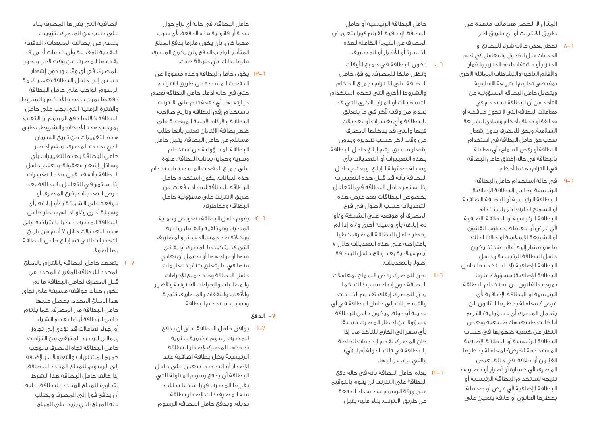المثال ال الحصر معامالت منفذة عن طريق االنترنت أو أي طريق آخر.

- تحظر بعض حاالت شراء للبضائع أو  $V$ ר الخدمات مثل الكحول والتعامل في لحم الخنزير أو مشتقات لحم الخنزير والقمار واألفالم اإلباحية والنشاطات المماثلة األخرى بمقتضى تعاليم الشريعة اإلسالمية ويتحمل حامل البطاقة المسؤولية عن التأكد من أن البطاقة تستخدم في معامالت البطاقة التي ال تكون مناقضة أو مخالفة أو مخلة بأحكام ومبادئ الشريعة اإلسالمية. ويحق للمصرف بدون إشعار، سحب حق حامل البطاقة في استخدام البطاقة أو رفض السماح بأي معاملة بالبطاقة في حالة إخفاق حامل البطاقة في االلتزام بهذه األحكام.
- في حالة استخدام حامل البطاقة  $9-1$ الرئيسية وحامل البطاقة اإلضافية للبطاقة الرئيسية أو البطاقة اإلضافية أو السماح لطرف آخر باستخدام البطاقة الرئيسية أو البطاقة اإلضافية ألي غرض أو معاملة يحظرها القانون أو الشريعة اإلسالمية أو خالفا لذلك ما هو مشار إليه أعاله عندئذ يكون حامل البطاقة الرئيسية وحامل البطاقة اإلضافية )إذا استخدمها حامل البطاقة الإضافية) مسؤولا/ ملزما بموجب القانون عن استخدام البطاقة الرئيسية أو البطاقة اإلضافية ألي غرض / معاملة يحظرها القانون. لن يتحمل المصرف أي مسؤولية/ التزام أيا كانت طبيعتها/ طبيعته وبغض النظر عن كيفية ظهورها في حساب البطاقة الرئيسية أو البطاقة اإلضافية المستخدمة لغرض/ لمعاملة يحظرها القانون أو خالفه. في حالة تعرض المصرف ألي خسارة أو أضرار أو مصاريف نتيجة الستخدام البطاقة الرئيسية أو البطاقة الإضافية لأى غرض أو معاملة يحظرها القانون أو خالفه يتعين على

حامل البطاقة الرئيسية أو حامل البطاقة اإلضافية القيام فورا بتعويض المصرف عن القيمة الكاملة لهذه الخسارة أو األضرار أو المصاريف.

- ٦–١٠ تكون البطاقة في جميع الاوقات وتظل ملكا للمصرف. يوافق حامل البطاقة على االلتزام بجميع األحكام والشروط الأخرى التى تحكم استخدام التسهيالت أو المزايا األخرى التي قد تقدم من وقت لآخر في ما يتعلق بالبطاقة وأي تغييرات أو تعديالت فيها والتي قد يدخلها المصرف من وقت آلخر حسب تقديره وبدون إشعار مسبق. يتم إبالغ حامل البطاقة بهذه التغييرات أو التعديالت بأي وسيلة معقولة لإلبالغ، ويعتبر حامل البطاقة بأنه قد قبل هذه التغييرات إذا استمر حامل البطاقة في التعامل بخصوص البطاقات بعد عرض هذه التعديالت حسب األصول في فرع المصرف أو موقعه على الشبكة و/أو تم إبالغه بأي وسيلة أخرى و/أو إذا لم يخطر حامل البطاقة المصرف خطيا<br>باعتراضه على هذه التعديلات خلال ۷ أيام ميالدية بعد إبالغ حامل البطاقة أصوال بالتعديالت.
- 11 يحق للمصرف رفض السماح بمعامالت - البطاقة دون إبداء سبب ذلك. كما يحق للمصرف إيقاف تقديم الخدمات والتسهيالت إلى حامل البطاقة في أي مدينة أو دولة. ويكون حامل البطاقة مسؤوال عن إخطار المصرف مسبقا بأي سفر إلى الخارج للتأكد مما إذا كان المصرف يقدم الخدمات الخاصة بالبطاقة في تلك الدولة أم ال )أي( والتي يرغب زيارتها.

 $\lceil$ 

12 يعلم حامل البطاقة بأنه في حالة دفع ņ البطاقة على االنترنت لن يقوم بالتوقيع على ورقة الرسوم عند سداد الدفعة عن طريق االنترنت. بناء عليه يقبل

حامل البطاقة، في حالة أي نزاع حول صحة أو قانونية هذه الدفعة، ألي سبب مهما كان، بأن يكون ملزما بدفع المبلغ المتأخر الواجب الدفع ولن يكون المصرف ملزما بذلك، بأي طريقة كانت.

- ٦–<u>١٣</u> يكون حامل البطاقة وحده مسؤولا عن الدفعات المسددة عن طريق االنترنت، حتى في حالة ادعاء حامل البطاقة بعدم حيازته لها. أي دفعة تتم على االنترنت باستخدام رقم البطاقة وتاريخ صالحية البطاقة والأرقام الأمنية الموضحة على ظهر بطاقة االئتمان تعتبر بأنها طلب مستلم من حامل البطاقة. يقبل حامل البطاقة المسؤولية عن استخدام وسرية وحماية بيانات البطاقة، عالوة على جميع الدفعات المسددة باستخدام هذه البيانات. يكون استخدام حامل البطاقة للبطاقة لسداد دفعات عن طريق االنترنت على مسؤولية حامل البطاقة ومخاطرته.
- 14 يقوم حامل البطاقة بتعويض وحماية - 6 المصرف وموظفيه والعاملين لديه ووكالئه ضد جميع الخسائر والمصاريف التي قد يتكبدها المصرف أو يعاني منها أو يواجهها أو يحتمل أن يعاني منها في ما يتعلق بتنفيذ تعليمات حامل البطاقة وضد جميع اإلجراءات والمطالبات واإلجراءات القانونية واألضرار والأتعاب والنفقات والمصاريف نتيجة وبسبب استخدام البطاقة.

#### الدفع - 7

يوافق حامل البطاقة على أن يدفع  $I-V$ للمصرف رسوم عضوية سنوية يحددها المصرف إلصدار البطاقة الرئيسية وكل بطاقة إضافية عند اإلصدار أو التجديد. يتعين على حامل البطاقة أن يدفع رسوم المناولة التي يقررها المصرف فورا عندما يطلب منه المصرف ذلك إلصدار بطاقة بديلة. ويدفع حامل البطاقة الرسوم

اإلضافية التي يقررها المصرف بناء على طلب من المصرف لتزويده بنسخ من إيصاالت المبيعات/ الدفعة النقدية المقدمة وأي خدمات أخرى قد يقدمها المصرف من وقت آلخر. ويجوز للمصرف في أي وقت وبدون إشعار مسبق إلى حامل البطاقة تغيير قيمة الرسوم الواجب على حامل البطاقة دفعها بموجب هذه الأحكام والشروط والفترة الزمنية التي يجب على حامل البطاقة خاللها دفع الرسوم أو األتعاب بموجب هذه األحكام والشروط. تطبق هذه التغييرات من تاريخ السريان الذي يحدده المصرف. ويتم إخطار حامل البطاقة بهذه التغييرات بأي وسائل إشعار معقولة. ويعتبر حامل البطاقة بأنه قد قبل هذه التغييرات إذا استمر في التعامل بالبطاقة بعد عرض التعديالت بفرع المصرف أو موقعه على الشبكة و/أو إبالغه بأي وسيلة أخرى و/أو اذا لم يخطر حامل البطاقة المصرف خطيا باعتراضه على هذه التعديلات خلال ۷ آيام من تاريخ التعديالت التي تم إبالغ حامل البطاقة بها أصوال.

يتعهد حامل البطاقة بااللتزام بالمبلغ 2 - 7 المحدد للبطاقة المقرر / المحدد من قبل المصرف لحامل البطاقة ما لم تكون هناك موافقة مسبقة على تجاوز هذا المبلغ المحدد، يحصل عليها حامل البطاقة من المصرف، كما يلتزم حامل البطاقة أيضا بعدم الشراء أو إجراء تعامالت قد تؤدي إلى تجاوز إجمالي الرصيد المتبقي من التزامات حامل البطاقة تجاه المصرف بموجب جميع المشتريات والتعامالت باإلضافة إلى الرسوم، للمبلغ المحدد للبطاقة. إذا خالف حامل البطاقة هذا الشرط بتجاوزه للمبلغ المحدد للبطاقة، عليه أن يدفع فورا إلى المصرف وبطلب منه المبلغ الذي يزيد على المبلغ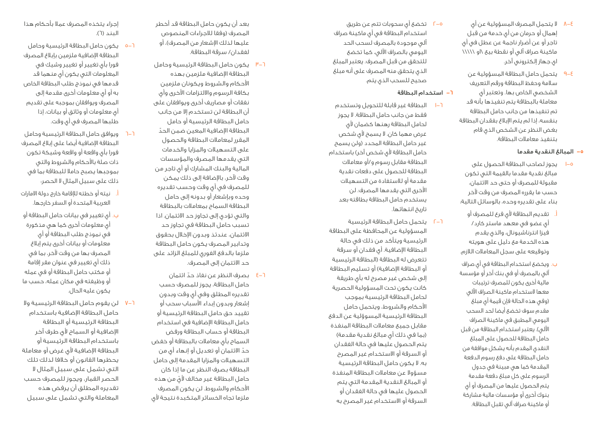- ال يتحمل المصرف المسؤولية عن أي 8 4 إهمال أو حرمان من أي خدمة من قبل تاجر أو عن أضرار ناجمة عن عطل في أي ماكينة صراف آلي أو نقطة بيع \او \\\\\ اي جهاز إلكتروني آخر.
- يتحمل حامل البطاقة المسؤولية عن  $9 - 8$ سالمة وحفظ البطاقة ورقم التعريف الشخصي الخاص بها. وتعتبر أي معاملة بالبطاقة يتم تنفيذها بأنه قد تم تنفيذها من جانب حامل البطاقة بنفسه، إذا لم يتم اإلبالغ بفقدان البطاقة بغض النظر عن الشخص الذي قام بتنفيذ معامالت البطاقة.

#### المبالغ النقدية مقدما - 5

- يجوز لصاحب البطاقة الحصول على  $I - 0$ مبالغ نقدية مقدما بالقيمة التي تكون مقبولة للمصرف أو حتى حد االئتمان، حسب ما يقرره المصرف من وقت آلخر بناء على تقديره وحده، بالوسائل التالية:
- أ. تقديم البطاقة ألي فرع للمصرف أو أي عضو في معهد ماستر كارد/ فيزا انترناشيونال، والذي يقدم هذه الخدمة مع دليل على هويته وتوقيعه على سجل المعامالت الالزم.
- ب. ويخضع استخدام البطاقة في أي صراف آلي بالمصرف أو في بنك آخر أو مؤسسة مالية أخرى يكون للمصرف ترتيبات معها الستخدام ماكينة الصراف اآللي )وفي هذه الحالة فإن قيمة أي مبلغ مقدم سوف تخضع أيضا لحد السحب اليومي المطبق في ماكينة الصراف الآلي). يعتبر استخدام البطاقة من قبل حامل البطاقة للحصول على المبلغ النقدي المقدم بأنه يشكل موافقة من حامل البطاقة على دفع رسوم الدفعة المقدمة كما هي مبينة في جدول الرسوم على كل مبلغ دفعة مقدمة يتم الحصول عليها من المصرف أو أي بنوك أخرى أو مؤسسات مالية مشاركة أو ماكينة صراف آلي تقبل البطاقة.
- تخضع أي سحوبات تتم عن طريق  $\sqrt{2}$ استخدام البطاقة في أي ماكينة صراف آلي موجودة بالمصرف لسحب الحد اليومي بالصراف اآللي، كما تخضع للتحقق من قبل المصرف. يعتبر المبلغ الذي يتحقق منه المصرف على أنه مبلغ صحيح للسحب الذي يتم.
	- ٦- استخدام البطاقة

<sup> $\overline{1}$ </sup> -  $\lceil$ 

- البطاقة غير قابلة للتحويل وتستخدم  $\vdash$ فقط من جانب حامل البطاقة. ال يجوز لحامل البطاقة رهنها كضمان ألي غرض مهما كان. ال يسمح ألي شخص غير حامل البطاقة المحدد (ولن يسمح حامل البطاقة لأى شخص آخر) باستخدام البطاقة مقابل رسوم و/أو معامالت البطاقة للحصول على دفعات نقدية مقدمة أو لالستفادة من التسهيالت األخرى التي يقدمها المصرف. لن يستخدم حامل البطاقة بطاقته بعد تاريخ انتهائها.
- يتحمل حامل البطاقة الرئيسية المسؤولية عن المحافظة على البطاقة الرئيسية ويتأكد من ذلك في حالة البطاقة اإلضافية. أي فقدان أو سرقة تتعرض له البطاقة )البطاقة الرئيسية أو البطاقة الإضافية) أو تسليم البطاقة إلى شخص غير مصرح له بأي طريقة كانت يكون تحت المسؤولية الحصرية لحامل البطاقة الرئيسية بموجب األحكام والشروط، ويتحمل حامل البطاقة الرئيسية المسوؤلية عن الدفع مقابل جميع معامالت البطاقة المنفذة )بما في ذلك أي مبالغ نقدية مقدمة( يتم الحصول عليها في حالة الفقدان أو السرقة أو االستخدام غير المصرح به. ال يكون حامل البطاقة الرئيسية مسؤوال عن معامالت البطاقة المنفذة أو المبالغ النقدية المقدمة التي يتم الحصول عليها في حالة الفقدان أو السرقة أو االستخدام غير المصرح به

بعد أن يكون حامل البطاقة قد أخطر المصرف (وفقا للاجراءات المنصوص عليها لذلك الإشعار من المصرف)، أو لفقدان/ سرقة البطاقة.

r<sub>—</sub>

- يكون حامل البطاقة الرئيسية وحامل البطاقة اإلضافية ملزمين بهذه األحكام والشروط ويكونان ملزمين بكافة الرسوم وااللتزامات األخرى وأي نفقات أو مصاريف أخرى ويوافقان على أن البطاقة لن تستخدم إال من جانب حامل البطاقة الرئيسية أو حامل ّ البطاقة اإلضافية المعين ضمن الحد المقرر لمعامالت البطاقة والحصول على التسهيالت والمزايا والخدمات التي يقدمها المصرف والمؤسسات المالية والبنك المشارك أو أي تاجر من وقت آلخر، باإلضافة إلى ذلك يمكن للمصرف في أي وقت وحسب تقديره وحده وبإشعار أو بدونه إلى حامل البطاقة السماح بمعامالت بالبطاقة والتي تؤدي إلى تجاوز حد االئتمان. اذا تسبب حامل البطاقة في تجاوز حد االئتمان، عندئذ وبدون اإلخالل بحقوق وتدابير المصرف يكون حامل البطاقة ملزما بالدفع الفوري للمبلغ الزائد على حد االئتمان إلى المصرف.
- ّ بصرف النظر عن نفاذ حد ائتمان  $\xi - \lambda$ حامل البطاقة، يجوز للمصرف حسب تقديره المطلق وفي أي وقت وبدون إشعار وبدون إبداء األسباب سحب أو تقييد حق حامل البطاقة الرئيسية أو حامل البطاقة اإلضافية في استخدام البطاقة أو حساب البطاقة ورفض السماح بأي معامالت بالبطاقة أو خفض ّحد االئتمان أو تعديل أو إنهاء أي من التسهيالت والمزايا المقدمة إلى حامل البطاقة بصرف النظر عن ما إذا كان ّ حامل البطاقة غير مخالف ألي من هذه األحكام والشروط. لن يكون المصرف ملزما تجاه الخسائر المتكبدة نتيجة ألي

إجراء يتخذه المصرف عمال بأحكام هذا البند (٦).

- يكون حامل البطاقة الرئيسية وحامل 5 6 البطاقة اإلضافية ملزمين بإبالغ المصرف فورا بأي تغيير أو تغيير وشيك في المعلومات التي يكون أي منهما قد قدمها في نموذج طلب البطاقة الخاص به أو أي معلومات أخرى مقدمة إلى المصرف ويوافقان بموجبه على تقديم أي معلومات أو وثائق أو بيانات، إذا طلبها المصرف في أي وقت.
- ويوافق حامل البطاقة الرئيسية وحامل ר–ר البطاقة اإلضافية أيضا على إبالغ المصرف فورا بأي واقعة أو واقعة وشيكة تكون ذات صلة بالأحكام والشروط والتي بموجبها يصبح حامال للبطاقة بما في ذلك على سبيل المثال ال الحصر:
- أ. نيته أو خطته لإلقامة خارج دولة االمارات العربية المتحدة أو السفر خارجها.
- ب. أي تغيير في بيانات حامل البطاقة أو أي معلومات أخرى كما هي مذكورة في نموذج طلب البطاقة أو أي معلومات أو بيانات أخرى يتم إبالغ المصرف بها من وقت آلخر، بما في ذلك أي تغيير في عنوان مقر إقامة أو مكتب حامل البطاقة أو في عمله أو وظيفته في مكان عمله، حسب ما يكون عليه الحال.
- لن يقوم حامل البطاقة الرئيسية وال 7 6 حامل البطاقة اإلضافية باستخدام البطاقة الرئيسية أو البطاقة اإلضافية أو السماح ألي طرف آخر باستخدام البطاقة الرئيسية أو البطاقة الإضافية لأى غرض أو معاملة يحظرها القانون أو خالفا لذلك تلك التي تشمل على سبيل المثال ال الحصر القمار، ويجوز للمصرف حسب تقديره المطلق أن يرفض هذه المعاملة والتي تشمل على سبيل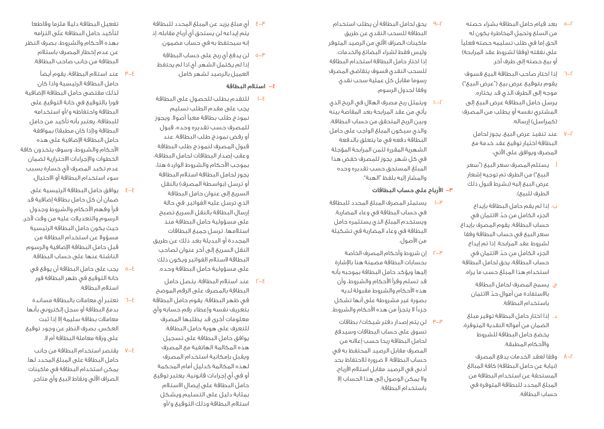- 5-2 بعد قيام حامل البطاقة بشراء حصته من السلع وتحمل المخاطرة يكون له الحق إما في طلب تسليمه حصته فعليًا على نفقته (وفقا لشروط عقد المرابحة) أو بيع حصته إلى طرف آخر.
- 6-2 إذا اختار صاحب البطاقة البيع فسوف يقوم بتوقيع عرض بيع )"عرض البيع"( موجه إلى الطرف الذي قد يختاره. يرسل حامل البطاقة عرض البيع إلى المشتري نفسه أو يطلب من المصرف (كمراسل) إرساله.
	- 7-2 عند تنفيذ عرض البيع، يجوز لحامل البطاقة اختيار توقيع عقد خدمة مع المصرف ويوافق على اآلتي:
	- أ. يستلم المصرف سعر البيع )"سعر البيع") من الطرف تم توجيه إشعار عرض البيع إليه (بشرط قبول ذلك الطرف للبيع).
- ب. إذا لم يقم حامل البطاقة بإيداع ّ الجزء الكامل من حد االئتمان في حساب البطاقة، يقوم المصرف بإيداع سعر البيع في حساب البطاقة وفقا لشروط عقد المرابحة. إذا تم إيداع ّ الجزء الكامل من حد االئتمان في حساب البطاقة، يحق لحامل البطاقة استخدام هذا المبلغ حسب ما يراه.
	- ج. يسمح المصرف لحامل البطاقة ّ باالستفادة من أموال حد االئتمان باستخدام البطاقة.
- د. إذا اختار حامل البطاقة توفير مبلغ الضمان من أمواله النقدية المتوفرة، يخضع حامل البطاقة للشروط واألحكام المطبقة.
- 8-2 وفقا لعقد الخدمات يدفع المصرف (نيابة عن حامل البطاقة) كافة المبالغ المستحقة عن استخدام البطاقة من المبلغ المحدد للبطاقة المتوفرة في حساب البطاقة.
- 9-2 يحق لحامل البطاقة أن يطلب استخدام البطاقة للسحب النقدي عن طريق ماكينات الصراف اآللي من الرصيد المتوفر وليس فقط لشراء البضائع والخدمات. إذا اختار حامل البطاقة استخدام البطاقة للسحب النقدي فسوف يتقاضى المصرف رسوما مقابل كل عملية سحب نقدي وفقا لجدول الرسوم.
- ويتمثل ربح مصرف الهلال في الربح الذي يأتي من عقد المرابحة بعد المقاصة بينه وبين الربح المتحقق من حساب البطاقة، والذي سيكون المبلغ الواجب على حامل البطاقة دفعه في ما يتعلق بالدفعة الشهرية المقررة لثمن المرابحة المؤجلة في كل شهر. يجوز للمصرف خفض هذا المبلغ المستحق حسب تقديره وحده والمشار إليه بلفظ "الهبة".
	- -3 األرباح على حساب البطاقات
- 1-3 يستمثر المصرف المبلغ المحدد للبطاقة في حساب البطاقة في وعاء المضاربة. ويستخدم المبلغ الذي يستثمره حامل البطاقة في وعاء المضاربة في تشكيلة من الأصول.
- 2-3 إن شروط وأحكام المصرف الخاصة بحسابات البطاقة مضمنة هنا باإلشارة إليها ويؤكد حامل البطاقة بموجبه بأنه قد تسلم وقرأ األحكام والشروط، وأن هذه األحكام والشروط مقبولة لديه بصورة غير مشروطة على أنها تشكل جزءاً لا يتجزأ من هذه الأحكام والشروط.
- 3-3 لن يتم إصدار دفتر شيكات/ بطاقات تسوق على حساب البطاقات وسيدفع لحامل البطاقة ربحا حسب إعالنه من المصرف مقابل الرصيد المحتفظ به في حساب البطاقة. ال ضرورة لالحتفاظ بحد أدنى في الرصيد مقابل استالم األرباح. وال يمكن الوصول إلى هذا الحساب إال باستخدام البطاقة.
- 4-3 أي مبلغ يزيد عن المبلغ المحدد للبطاقة يتم إيداعه لن يستحق أي أرباح مقابله، إذ إنه سيحتفظ به في حساب مضمون.
- 5-3 لن يدفع أي ربح على حساب البطاقة إذا لم يكتمل الشهر، أي اذا لم يحتفظ العميل بالرصيد لشهر كامل.
	- -4 استالم البطاقة
- 1-4 للتقدم بطلب للحصول على البطاقة يجب على مقدم الطلب تسليم نموذج طلب بطاقة معبأ أصوال. ويجوز للمصرف حسب تقديره وحده، قبول أو رفض نموذج طلب البطاقة. عند قبول المصرف لنموذج طلب البطاقة وعقب إصدار البطاقات لحامل البطاقة، بموجب األحكام والشروط الواردة هنا، يجوز لحامل البطاقة استالم البطاقة أو ترسل (بواسطة المصرف) بالنقل السريع إلى عنوان حامل البطاقة الذي ترسل عليه الفواتير. في حالة إرسال البطاقة بالنقل السريع تصبح على مسؤولية حامل البطاقة منذ استالمها. ترسل جميع البطاقات المجددة أو البديلة بعد ذلك عن طريق النقل السريع إلى آخر عنوان لصاحب البطاقة الستالم الفواتير ويكون ذلك على مسؤولية حامل البطاقة وحده.
- 2-4 عند استالم البطاقة، يتصل حامل البطاقة بالمصرف على الرقم الموضح في ظهر البطاقة. يقوم حامل البطاقة بتعريف نفسه وإعطاء رقم حسابه وأي معلومات أخرى قد يطلبها المصرف للتعرف على هوية حامل البطاقة. يوافق حامل البطاقة على تسجيل هذه المكالمة الهاتفية مع المصرف ويقبل بإمكانية استخدام المصرف لهذه المكالمة كدليل أمام المحكمة أو في أي إجراءات قانونية. يعتبر توقيع حامل البطاقة على إيصال االستالم بمثابة دليل على التسليم ويشكل استالم البطاقة وذلك التوقيع و/أو
- تفعيل البطاقة دليال ملزما وقاطعا لتأكيد حامل البطاقة على التزامه بهذه األحكام والشروط، بصرف النظر عن عدم إخطار المصرف باستالم البطاقة من جانب صاحب البطاقة.
- 3-4 عند استالم البطاقة، يقوم أيضًا حامل البطاقة الرئيسية واذا كان لذلك مقتضى حامل البطاقة اإلضافية فورا بالتوقيع في خانة التوقيع على البطاقة واحتفاظه و/أو استخدامه للبطاقة، يعتبر بأنه تأكيد من حامل البطاقة و(إذا كان مطبقا) بموافقة حامل البطاقة اإلضافية على هذه األحكام والشروط، وسوف يتخذون كافة الخطوات واإلجراءات االحترازية لضمان عدم تكبد المصرف لأى خسارة بسبب سوء استخدام البطاقة أو االحتيال.
- 4-4 يوافق حامل البطاقة الرئيسية على ضمان أن كل حامل بطاقة إضافية قد قرأ وفهم األحكام والشروط وجدول الرسوم والتعديالت عليه من وقت آلخر، حيث يكون حامل البطاقة الرئيسية مسؤوال عن استخدام البطاقة من قبل حامل البطاقة اإلضافية والرسوم الناشئة عنها على حساب البطاقة.
	- 5-4 يجب على حامل البطاقة أن يوقع في خانة التوقيع في ظهر البطاقة فور استالم البطاقة.
- 6-4 تعتبر أي معامالت بالبطاقة مساندة بدمغ البطاقة أو سجل إلكتروني بأنها معامالت بطاقة سليمة إال إذا ثبت العكس، بصرف النظر عن وجود توقيع على ورقة معاملة البطاقة أم ال.
- 7-4 يقتصر استخدام البطاقة من جانب حامل البطاقة على المبلغ المحدد لها. يمكن استخدام البطاقة في ماكينات الصراف اآللي ونقاط البيع وأي متاجر.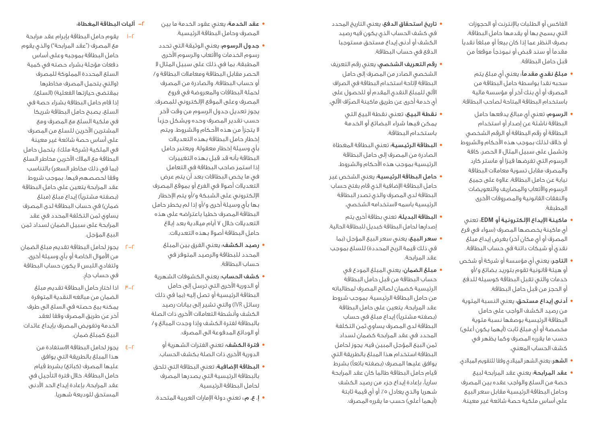الفاكس أو الطلبات باإلنترنت أو الحجوزات التي يسمح بها أو يقدمها حامل البطاقة، بصرف النظر عما إذا كان بيعًا أو مبلغًا نقديًا مقدمًا أو سند قبض أو نموذجًا موقعًا من قبل حامل البطاقة.

- **•** مبلغ نقدي مقدمًا: يعني أي مبلغ يتم سحبه نقدا بواسطة حامل البطاقة من المصرف أو أي بنك آخر أو مؤسسة مالية باستخدام البطاقة المتاحة لصاحب البطاقة.
- **•** الرسوم: تعني أي مبالغ يدفعها حامل البطاقة ناشئة عن إصدار أو استخدام البطاقة أو رقم البطاقة أو الرقم الشخصي أو خلاف لذلك بموجب هذه الأحكام والشروط وتشمل على سبيل المثال ال الحصر، كافة الرسوم التي تفرضها فيزا أو ماستر كارد والمصرف مقابل تسوية معامالت البطاقة نيابة عن حامل البطاقة، عالوة على جميع الرسوم واألتعاب والمصاريف والتعويضات والنفقات القانونية والمصروفات األخرى المطبقة.
- **•** ماكينة اإليداع اإللكترونية أو **EDM**: تعني أي ماكينة يخصصها المصرف )سواء في فرع المصرف أو أي مكان آخر) بغرض إيداع مبلغ نقدي أو شيكات دائنة في حساب البطاقة.
- **•** التاجر: يعني أي مؤسسة أو شركة أو شخص أو هيئة قانونية تقوم بتوريد بضائع و/أو خدمات والتي تقبل البطاقة كوسيلة للدفع أو الحجز من قبل حامل البطاقة.
- **•** أدنى إيداع مستحق: يعني النسبة المئوية من رصيد الكشف الواجب على حامل البطاقة الرئيسية بوصفها نسبة مئوية مخصصة أو أي مبلغ ثابت (أيهما يكون أعلى) حسب ما يقرره المصرف وكما يظهر في كشف الحساب المعني.
- **•** الشهر: يعني الشهر الميالدي وفقا للتقويم الميالدي.
- **•** عقد المرابحة: يعني عقد المرابحة لبيع حصة من السلع والواجب عقده بين المصرف وحامل البطاقة الرئيسية مقابل سعر البيع على أساس ملكية حصة شائعة غير معينة.
- **•** تاريخ استحقاق الدفع: يعني التاريخ المحدد في كشف الحساب الذي يكون فيه رصيد الكشف أو أدنى إيداع مستحق مستوجبا الدفع في حساب البطاقة.
- **•** رقم التعريف الشخصي: يعني رقم التعريف الشخصي الصادر من المصرف إلى حامل البطاقة إلتاحة استخدام البطاقة في الصراف اآللي للمبلغ النقدي المقدم أو للحصول على ّ أي خدمة أخرى عن طريق ماكينة الصراف اآللي.
	- **•** نقطة البيع: تعني نقطة البيع التي يمكن فيها شراء البضائع أو الخدمة باستخدام البطاقة.
- **•** البطاقة الرئيسية: تعني البطاقة المغطاة الصادرة من المصرف إلى حامل البطاقة الرئيسية بموجب هذه األحكام والشروط.
- **•** حامل البطاقة الرئيسية: يعني الشخص غير حامل البطاقة اإلضافية الذي قام بفتح حساب البطاقة لدى المصرف والذي تصدر البطاقة الرئيسية باسمه الستخدامه الشخصي.
- **•** البطاقة البديلة: تعني بطاقة أخرى يتم إصدارها لحامل البطاقة كبديل للبطاقة الحالية.
- **•** سعر البيع: يعني سعر البيع المؤجل )بما في ذلك قيمة الربح المحددة) للسلع بموجب عقد المرابحة.
- **•** مبلغ الضمان: يعني المبلغ المودع في حساب البطاقة من قبل حامل البطاقة الرئيسية كضمان لصالح المصرف لمطالباته من حامل البطاقة الرئيسية. بموجب شروط عقد المرابحة، يتعين على حامل البطاقة (بصفته مشترياً) إيداع مبلغ في حساب البطاقة لدى المصرف يساوي ثمن التكلفة المحدد في عقد المرابحة كضمان لسداد ثمن البيع المؤجل المبين فيه. يجوز لحامل البطاقة استخدام هذا المبلغ بالطريقة التي يوافق عليها المصرف (بصفته بائعاً) بشرط قيام حامل البطاقة طالما كان عقد المرابحة ساريًا، بإعادة إيداع جزء من رصيد الكشف شهريا والذي يعادل ٥٪ أو أي قيمة ثابتة (أيهما أعلى) حسب ما يقرره المصرف.
- **•** عقد الخدمة: يعني عقود الخدمة ما بين المصرف وحامل البطاقة الرئيسية.
- **•** جدول الرسوم: يعني الوثيقة التي تحدد رسوم الخدمات واألتعاب والرسوم األخرى المطبقة، بما في ذلك على سبيل المثال ال الحصر مقابل البطاقة ومعامالت البطاقة و/ أو حساب البطاقة، والصادرة من المصرف لحملة البطاقات والمعروضة في فروع المصرف وعلى الموقع اإللكتروني للمصرف. يجوز تعديل جدول الرسوم من وقت آلخر حسب تقدير المصرف وحده ويشكل جزءًا ال يتجزأ من هذه األحكام والشروط. ويتم إخطار حامل البطاقة بهذه التعديالت بأي وسيلة إخطار معقولة. ويعتبر حامل البطاقة بأنه قد قبل بهذه التغييرات إذا استمر صاحب البطاقة في التعامل في ما يخص البطاقات بعد أن يتم عرض التعديالت أصوال في الفرع أو بموقع المصرف اإللكتروني على الشبكة و/أو يتم اإلخطار بها بأي وسيلة أخرى و/أو إذا لم يخطر حامل البطاقة المصرف خطيا باعتراضه على هذه التعديالت خالل 7 أيام ميالدية بعد إبالغ حامل البطاقة أصوال بهذه التعديالت.
- **•** رصيد الكشف: يعني الفرق بين المبلغ المحدد للبطاقة والرصيد المتوفر في حساب البطاقة.
- **•** كشف الحساب: يعني الكشوفات الشهرية أو الدورية الأخرى التي ترسل إلى حامل البطاقة الرئيسية أو تصل إليه (بما في ذلك رسائل IVR )والتي تشير إلى بيانات رصيد الكشف وأنشطة التعامالت األخرى ذات الصلة بالبطاقة لفترة الكشف وإذا وجدت المبالغ و/ أو الودائع المدفوعة الى المصرف.
	- **•** فترة الكشف: تعني الفترات الشهرية أو الدورية األخرى ذات الصلة بكشف الحساب.
	- **•** البطاقة اإلضافية: تعني البطاقة التي تلحق بالبطاقة الرئيسية التي يصدرها المصرف لحامل البطاقة الرئيسية.
	- **•** إ. ع. م:. تعني دولة اإلمارات العربية المتحدة.

#### -2 آليات البطاقة المغطاة:

- 1-2 يقوم حامل البطاقة بإبرام عقد مرابحة مع المصرف ("عقد المرابحة") والذي يقوم حامل البطاقة بموجبه وعلى أساس دفعات مؤجلة بشراء حصته في كمية السلع المحددة المملوكة للمصرف )والتي يتحمل المصرف مخاطرها بمقتضى حيازتها الفعلية) (السلع). إذا قام حامل البطاقة بشراء حصة في السلع، يصبح حامل البطاقة شريكا في ملكية السلع مع المصرف ومع المشترين اآلخرين للسلع من المصرف على أساس حصة شائعة غير معينة في الملكية (شركة ملك). يتحمل حامل البطاقة مع المالك اآلخرين مخاطر السلع )بما في ذلك مخاطر السعر( بالتناسب وفقا لحصصهم فيها. بموجب شروط عقد المرابحة يتعين على حامل البطاقة (بصفته مشترياً) إيداع مبلغ (مبلغ ضمان) في حساب البطاقة لدى المصرف يساوي ثمن التكلفة المحدد في عقد المرابحة على سبيل الضمان لسداد ثمن البيع المؤجل.
- 2-2 يجوز لحامل البطاقة تقديم مبلغ الضمان من الأموال الخاصة أو بأى وسيلة أخرى. ولتفادي اللبس ال يكون حساب البطاقة .ٍ في حساب جار
- 3-2 اذا اختار حامل البطاقة تقديم مبلغ الضمان من مبالغه النقدية المتوفرة يمكنه بيع حصته في السلع الى طرف آخر عن طريق المصرف وفقا لعقد الخدمة وتفويض المصرف بإيداع عائدات البيع كمبلغ ضمان.
- 4-2 يجوز لحامل البطاقة االستفادة من هذا المبلغ بالطريقة التي يوافق عليها المصرف (كبائع) بشرط قيام حامل البطاقة، خالل فترة التأجيل في عقد المرابحة، بإعادة إيداع الحد األدنى المستحق للوديعة شهريا.